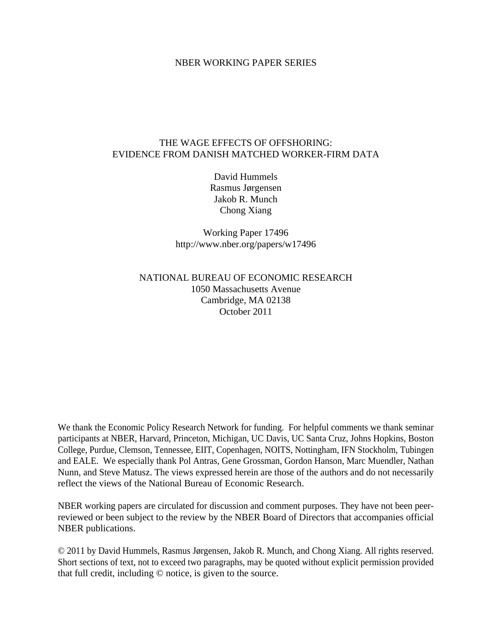## NBER WORKING PAPER SERIES

## THE WAGE EFFECTS OF OFFSHORING: EVIDENCE FROM DANISH MATCHED WORKER-FIRM DATA

David Hummels Rasmus Jørgensen Jakob R. Munch Chong Xiang

Working Paper 17496 http://www.nber.org/papers/w17496

## NATIONAL BUREAU OF ECONOMIC RESEARCH 1050 Massachusetts Avenue Cambridge, MA 02138 October 2011

We thank the Economic Policy Research Network for funding. For helpful comments we thank seminar participants at NBER, Harvard, Princeton, Michigan, UC Davis, UC Santa Cruz, Johns Hopkins, Boston College, Purdue, Clemson, Tennessee, EIIT, Copenhagen, NOITS, Nottingham, IFN Stockholm, Tubingen and EALE. We especially thank Pol Antras, Gene Grossman, Gordon Hanson, Marc Muendler, Nathan Nunn, and Steve Matusz. The views expressed herein are those of the authors and do not necessarily reflect the views of the National Bureau of Economic Research.

NBER working papers are circulated for discussion and comment purposes. They have not been peerreviewed or been subject to the review by the NBER Board of Directors that accompanies official NBER publications.

© 2011 by David Hummels, Rasmus Jørgensen, Jakob R. Munch, and Chong Xiang. All rights reserved. Short sections of text, not to exceed two paragraphs, may be quoted without explicit permission provided that full credit, including © notice, is given to the source.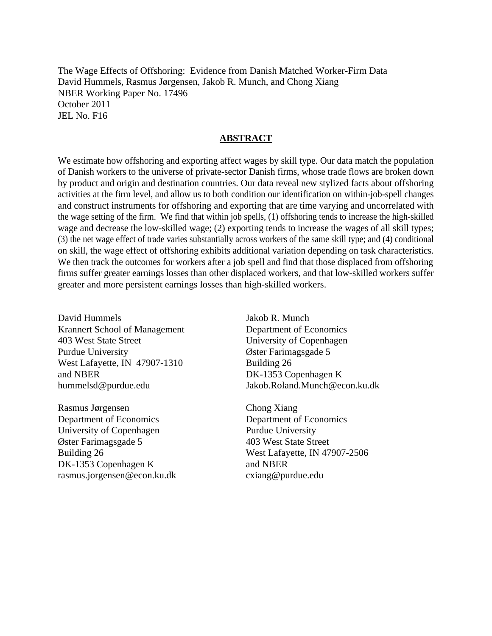The Wage Effects of Offshoring: Evidence from Danish Matched Worker-Firm Data David Hummels, Rasmus Jørgensen, Jakob R. Munch, and Chong Xiang NBER Working Paper No. 17496 October 2011 JEL No. F16

## **ABSTRACT**

We estimate how offshoring and exporting affect wages by skill type. Our data match the population of Danish workers to the universe of private-sector Danish firms, whose trade flows are broken down by product and origin and destination countries. Our data reveal new stylized facts about offshoring activities at the firm level, and allow us to both condition our identification on within-job-spell changes and construct instruments for offshoring and exporting that are time varying and uncorrelated with the wage setting of the firm. We find that within job spells, (1) offshoring tends to increase the high-skilled wage and decrease the low-skilled wage; (2) exporting tends to increase the wages of all skill types; (3) the net wage effect of trade varies substantially across workers of the same skill type; and (4) conditional on skill, the wage effect of offshoring exhibits additional variation depending on task characteristics. We then track the outcomes for workers after a job spell and find that those displaced from offshoring firms suffer greater earnings losses than other displaced workers, and that low-skilled workers suffer greater and more persistent earnings losses than high-skilled workers.

David Hummels Krannert School of Management 403 West State Street Purdue University West Lafayette, IN 47907-1310 and NBER hummelsd@purdue.edu

Rasmus Jørgensen Department of Economics University of Copenhagen Øster Farimagsgade 5 Building 26 DK-1353 Copenhagen K rasmus.jorgensen@econ.ku.dk Jakob R. Munch Department of Economics University of Copenhagen Øster Farimagsgade 5 Building 26 DK-1353 Copenhagen K Jakob.Roland.Munch@econ.ku.dk

Chong Xiang Department of Economics Purdue University 403 West State Street West Lafayette, IN 47907-2506 and NBER cxiang@purdue.edu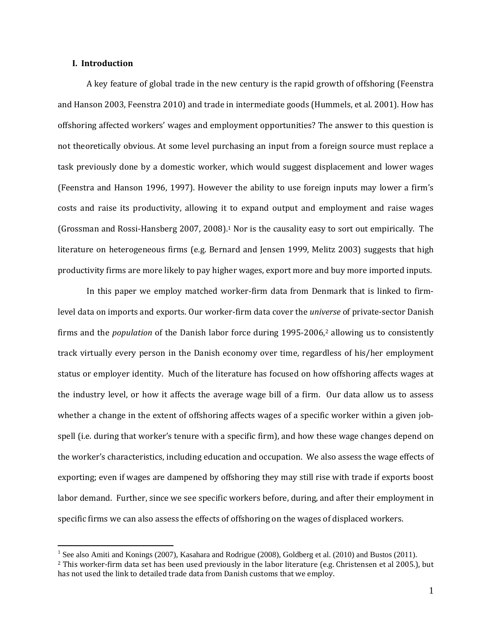## **I. Introduction**

 $\overline{a}$ 

A key feature of global trade in the new century is the rapid growth of offshoring (Feenstra and Hanson 2003, Feenstra 2010) and trade in intermediate goods (Hummels, et al. 2001). How has offshoring affected workers' wages and employment opportunities? The answer to this question is not theoretically obvious. At some level purchasing an input from a foreign source must replace a task previously done by a domestic worker, which would suggest displacement and lower wages (Feenstra and Hanson 1996, 1997). However the ability to use foreign inputs may lower a firm's costs and raise its productivity, allowing it to expand output and employment and raise wages (Grossman and Rossi-Hansberg 2007, 2008).<sup>1</sup> Nor is the causality easy to sort out empirically. The literature on heterogeneous firms (e.g. Bernard and Jensen 1999, Melitz 2003) suggests that high productivity firms are more likely to pay higher wages, export more and buy more imported inputs.

In this paper we employ matched worker-firm data from Denmark that is linked to firmlevel data on imports and exports. Our worker-firm data cover the *universe* of private-sector Danish firms and the *population* of the Danish labor force during 1995–2006,<sup>2</sup> allowing us to consistently track virtually every person in the Danish economy over time, regardless of his/her employment status or employer identity. Much of the literature has focused on how offshoring affects wages at the industry level, or how it affects the average wage bill of a firm. Our data allow us to assess whether a change in the extent of offshoring affects wages of a specific worker within a given jobspell (i.e. during that worker's tenure with a specific firm), and how these wage changes depend on the worker's characteristics, including education and occupation. We also assess the wage effects of exporting; even if wages are dampened by offshoring they may still rise with trade if exports boost labor demand. Further, since we see specific workers before, during, and after their employment in specific firms we can also assess the effects of offshoring on the wages of displaced workers.

<sup>&</sup>lt;sup>1</sup> See also Amiti and Konings (2007), Kasahara and Rodrigue (2008), Goldberg et al. (2010) and Bustos (2011).

 $2$  This worker-firm data set has been used previously in the labor literature (e.g. Christensen et al 2005.), but has not used the link to detailed trade data from Danish customs that we employ.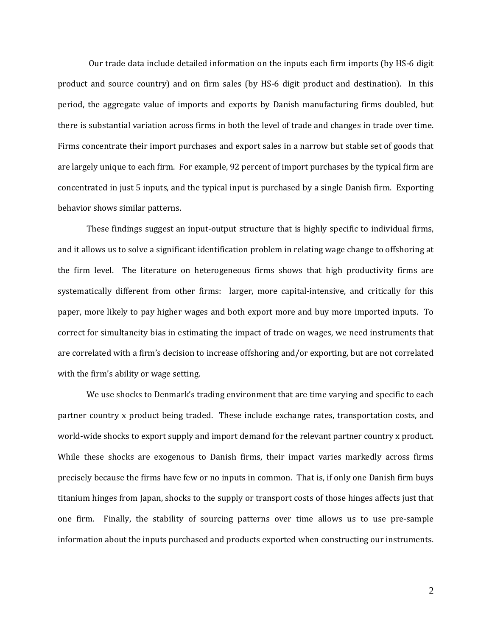Our trade data include detailed information on the inputs each firm imports (by HS-6 digit product and source country) and on firm sales (by HS-6 digit product and destination). In this period, the aggregate value of imports and exports by Danish manufacturing firms doubled, but there is substantial variation across firms in both the level of trade and changes in trade over time. Firms concentrate their import purchases and export sales in a narrow but stable set of goods that are largely unique to each firm. For example, 92 percent of import purchases by the typical firm are concentrated in just 5 inputs, and the typical input is purchased by a single Danish firm. Exporting behavior shows similar patterns.

These findings suggest an input-output structure that is highly specific to individual firms, and it allows us to solve a significant identification problem in relating wage change to offshoring at the firm level. The literature on heterogeneous firms shows that high productivity firms are systematically different from other firms: larger, more capital-intensive, and critically for this paper, more likely to pay higher wages and both export more and buy more imported inputs. To correct for simultaneity bias in estimating the impact of trade on wages, we need instruments that are correlated with a firm's decision to increase offshoring and/or exporting, but are not correlated with the firm's ability or wage setting.

We use shocks to Denmark's trading environment that are time varying and specific to each partner country x product being traded. These include exchange rates, transportation costs, and world-wide shocks to export supply and import demand for the relevant partner country x product. While these shocks are exogenous to Danish firms, their impact varies markedly across firms precisely because the firms have few or no inputs in common. That is, if only one Danish firm buys titanium hinges from Japan, shocks to the supply or transport costs of those hinges affects just that one firm. Finally, the stability of sourcing patterns over time allows us to use pre-sample information about the inputs purchased and products exported when constructing our instruments.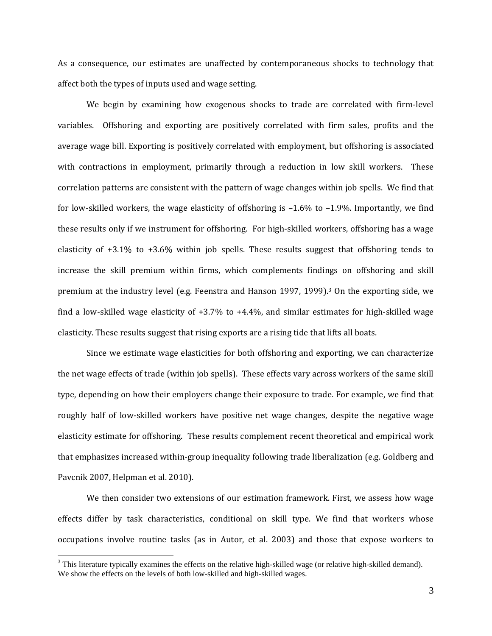As a consequence, our estimates are unaffected by contemporaneous shocks to technology that affect both the types of inputs used and wage setting.

We begin by examining how exogenous shocks to trade are correlated with firm-level variables. Offshoring and exporting are positively correlated with firm sales, profits and the average wage bill. Exporting is positively correlated with employment, but offshoring is associated with contractions in employment, primarily through a reduction in low skill workers. These correlation patterns are consistent with the pattern of wage changes within job spells. We find that for low-skilled workers, the wage elasticity of offshoring is  $-1.6\%$  to  $-1.9\%$ . Importantly, we find these results only if we instrument for offshoring. For high-skilled workers, offshoring has a wage elasticity of  $+3.1\%$  to  $+3.6\%$  within job spells. These results suggest that offshoring tends to increase the skill premium within firms, which complements findings on offshoring and skill premium at the industry level (e.g. Feenstra and Hanson 1997, 1999).<sup>3</sup> On the exporting side, we find a low-skilled wage elasticity of  $+3.7\%$  to  $+4.4\%$ , and similar estimates for high-skilled wage elasticity. These results suggest that rising exports are a rising tide that lifts all boats.

Since we estimate wage elasticities for both offshoring and exporting, we can characterize the net wage effects of trade (within job spells). These effects vary across workers of the same skill type, depending on how their employers change their exposure to trade. For example, we find that roughly half of low-skilled workers have positive net wage changes, despite the negative wage elasticity estimate for offshoring. These results complement recent theoretical and empirical work that emphasizes increased within-group inequality following trade liberalization (e.g. Goldberg and Pavcnik 2007, Helpman et al. 2010).

We then consider two extensions of our estimation framework. First, we assess how wage effects differ by task characteristics, conditional on skill type. We find that workers whose occupations involve routine tasks (as in Autor, et al. 2003) and those that expose workers to

 $3$  This literature typically examines the effects on the relative high-skilled wage (or relative high-skilled demand). We show the effects on the levels of both low-skilled and high-skilled wages.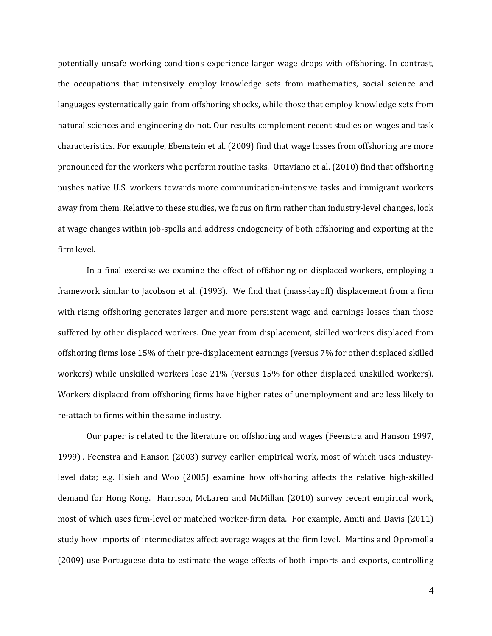potentially unsafe working conditions experience larger wage drops with offshoring. In contrast, the occupations that intensively employ knowledge sets from mathematics, social science and languages systematically gain from offshoring shocks, while those that employ knowledge sets from natural sciences and engineering do not. Our results complement recent studies on wages and task characteristics. For example, Ebenstein et al. (2009) find that wage losses from offshoring are more pronounced for the workers who perform routine tasks. Ottaviano et al. (2010) find that offshoring pushes native U.S. workers towards more communication-intensive tasks and immigrant workers away from them. Relative to these studies, we focus on firm rather than industry-level changes, look at wage changes within job-spells and address endogeneity of both offshoring and exporting at the firm level. 

In a final exercise we examine the effect of offshoring on displaced workers, employing a framework similar to Jacobson et al. (1993). We find that (mass-layoff) displacement from a firm with rising offshoring generates larger and more persistent wage and earnings losses than those suffered by other displaced workers. One year from displacement, skilled workers displaced from offshoring firms lose 15% of their pre-displacement earnings (versus 7% for other displaced skilled workers) while unskilled workers lose 21% (versus 15% for other displaced unskilled workers). Workers displaced from offshoring firms have higher rates of unemployment and are less likely to re-attach to firms within the same industry.

Our paper is related to the literature on offshoring and wages (Feenstra and Hanson 1997, 1999) . Feenstra and Hanson (2003) survey earlier empirical work, most of which uses industrylevel data; e.g. Hsieh and Woo (2005) examine how offshoring affects the relative high-skilled demand for Hong Kong. Harrison, McLaren and McMillan (2010) survey recent empirical work, most of which uses firm-level or matched worker-firm data. For example, Amiti and Davis (2011) study how imports of intermediates affect average wages at the firm level. Martins and Opromolla (2009) use Portuguese data to estimate the wage effects of both imports and exports, controlling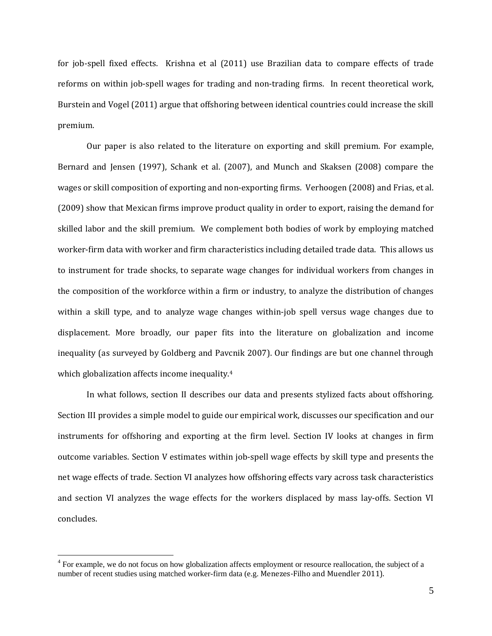for job-spell fixed effects. Krishna et al (2011) use Brazilian data to compare effects of trade reforms on within job-spell wages for trading and non-trading firms. In recent theoretical work, Burstein and Vogel (2011) argue that offshoring between identical countries could increase the skill premium. 

Our paper is also related to the literature on exporting and skill premium. For example, Bernard and Jensen (1997), Schank et al. (2007), and Munch and Skaksen (2008) compare the wages or skill composition of exporting and non-exporting firms. Verhoogen (2008) and Frias, et al. (2009) show that Mexican firms improve product quality in order to export, raising the demand for skilled labor and the skill premium. We complement both bodies of work by employing matched worker-firm data with worker and firm characteristics including detailed trade data. This allows us to instrument for trade shocks, to separate wage changes for individual workers from changes in the composition of the workforce within a firm or industry, to analyze the distribution of changes within a skill type, and to analyze wage changes within-job spell versus wage changes due to displacement. More broadly, our paper fits into the literature on globalization and income inequality (as surveyed by Goldberg and Pavcnik 2007). Our findings are but one channel through which globalization affects income inequality.<sup>4</sup>

In what follows, section II describes our data and presents stylized facts about offshoring. Section III provides a simple model to guide our empirical work, discusses our specification and our instruments for offshoring and exporting at the firm level. Section IV looks at changes in firm outcome variables. Section V estimates within job-spell wage effects by skill type and presents the net wage effects of trade. Section VI analyzes how offshoring effects vary across task characteristics and section VI analyzes the wage effects for the workers displaced by mass lay-offs. Section VI concludes. 

 $4$  For example, we do not focus on how globalization affects employment or resource reallocation, the subject of a number of recent studies using matched worker-firm data (e.g. Menezes-Filho and Muendler 2011).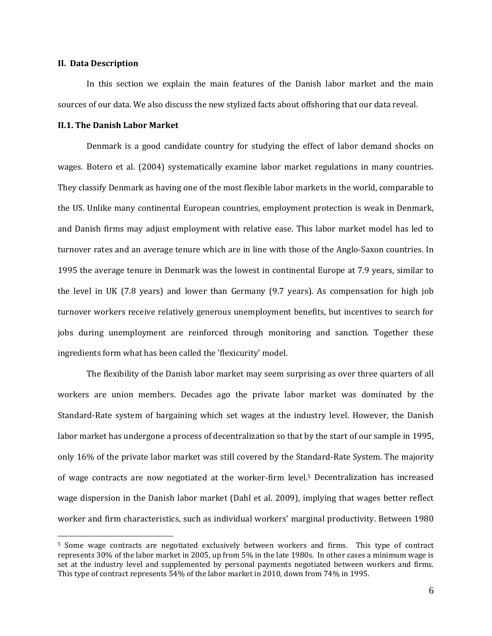#### **II. Data Description**

 $\overline{a}$ 

In this section we explain the main features of the Danish labor market and the main sources of our data. We also discuss the new stylized facts about offshoring that our data reveal.

### **II.1. The Danish Labor Market**

Denmark is a good candidate country for studying the effect of labor demand shocks on wages. Botero et al. (2004) systematically examine labor market regulations in many countries. They classify Denmark as having one of the most flexible labor markets in the world, comparable to the US. Unlike many continental European countries, employment protection is weak in Denmark, and Danish firms may adjust employment with relative ease. This labor market model has led to turnover rates and an average tenure which are in line with those of the Anglo-Saxon countries. In 1995 the average tenure in Denmark was the lowest in continental Europe at 7.9 years, similar to the level in UK  $(7.8 \text{ years})$  and lower than Germany  $(9.7 \text{ years})$ . As compensation for high job turnover workers receive relatively generous unemployment benefits, but incentives to search for jobs during unemployment are reinforced through monitoring and sanction. Together these ingredients form what has been called the 'flexicurity' model.

The flexibility of the Danish labor market may seem surprising as over three quarters of all workers are union members. Decades ago the private labor market was dominated by the Standard-Rate system of bargaining which set wages at the industry level. However, the Danish labor market has undergone a process of decentralization so that by the start of our sample in 1995, only 16% of the private labor market was still covered by the Standard-Rate System. The majority of wage contracts are now negotiated at the worker-firm level.<sup>5</sup> Decentralization has increased wage dispersion in the Danish labor market (Dahl et al. 2009), implying that wages better reflect worker and firm characteristics, such as individual workers' marginal productivity. Between 1980

<sup>&</sup>lt;sup>5</sup> Some wage contracts are negotiated exclusively between workers and firms. This type of contract represents  $30\%$  of the labor market in 2005, up from 5% in the late 1980s. In other cases a minimum wage is set at the industry level and supplemented by personal payments negotiated between workers and firms. This type of contract represents 54% of the labor market in 2010, down from 74% in 1995.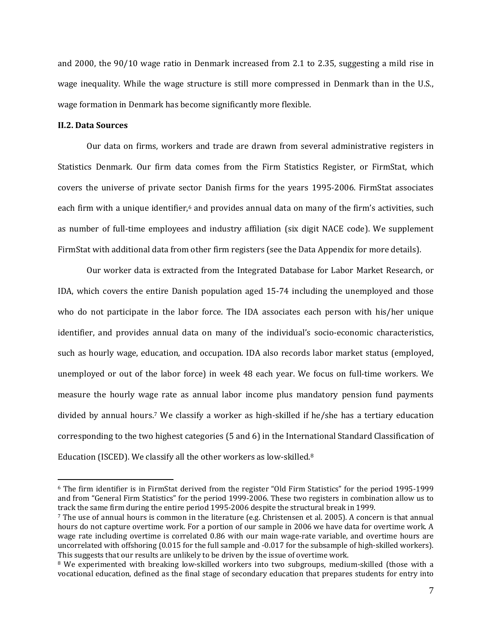and  $2000$ , the  $90/10$  wage ratio in Denmark increased from 2.1 to 2.35, suggesting a mild rise in wage inequality. While the wage structure is still more compressed in Denmark than in the U.S., wage formation in Denmark has become significantly more flexible.

## **II.2. Data Sources**

 $\overline{a}$ 

Our data on firms, workers and trade are drawn from several administrative registers in Statistics Denmark. Our firm data comes from the Firm Statistics Register, or FirmStat, which covers the universe of private sector Danish firms for the years 1995-2006. FirmStat associates each firm with a unique identifier,<sup>6</sup> and provides annual data on many of the firm's activities, such as number of full-time employees and industry affiliation (six digit NACE code). We supplement FirmStat with additional data from other firm registers (see the Data Appendix for more details).

Our worker data is extracted from the Integrated Database for Labor Market Research, or IDA, which covers the entire Danish population aged  $15-74$  including the unemployed and those who do not participate in the labor force. The IDA associates each person with his/her unique identifier, and provides annual data on many of the individual's socio-economic characteristics, such as hourly wage, education, and occupation. IDA also records labor market status (employed, unemployed or out of the labor force) in week 48 each year. We focus on full-time workers. We measure the hourly wage rate as annual labor income plus mandatory pension fund payments divided by annual hours.<sup>7</sup> We classify a worker as high-skilled if he/she has a tertiary education corresponding to the two highest categories  $(5 \text{ and } 6)$  in the International Standard Classification of Education (ISCED). We classify all the other workers as low-skilled. $8$ 

 $6$  The firm identifier is in FirmStat derived from the register "Old Firm Statistics" for the period 1995-1999 and from "General Firm Statistics" for the period 1999-2006. These two registers in combination allow us to track the same firm during the entire period 1995-2006 despite the structural break in 1999.

<sup>&</sup>lt;sup>7</sup> The use of annual hours is common in the literature (e.g. Christensen et al. 2005). A concern is that annual hours do not capture overtime work. For a portion of our sample in 2006 we have data for overtime work. A wage rate including overtime is correlated 0.86 with our main wage-rate variable, and overtime hours are uncorrelated with offshoring  $(0.015$  for the full sample and  $-0.017$  for the subsample of high-skilled workers). This suggests that our results are unlikely to be driven by the issue of overtime work.

<sup>&</sup>lt;sup>8</sup> We experimented with breaking low-skilled workers into two subgroups, medium-skilled (those with a vocational education, defined as the final stage of secondary education that prepares students for entry into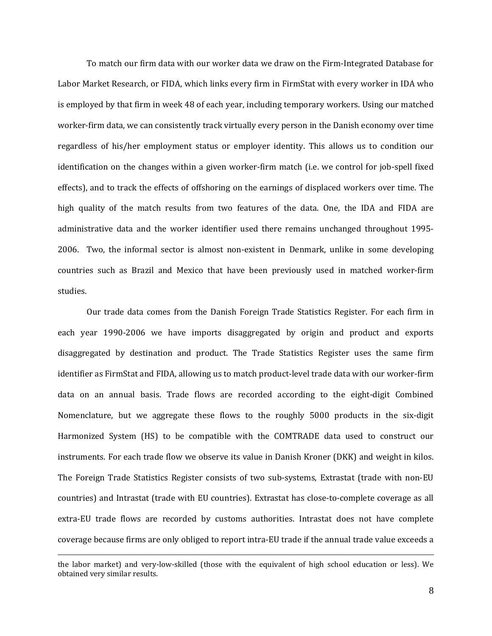To match our firm data with our worker data we draw on the Firm-Integrated Database for Labor Market Research, or FIDA, which links every firm in FirmStat with every worker in IDA who is employed by that firm in week 48 of each year, including temporary workers. Using our matched worker-firm data, we can consistently track virtually every person in the Danish economy over time regardless of his/her employment status or employer identity. This allows us to condition our identification on the changes within a given worker-firm match (i.e. we control for job-spell fixed effects), and to track the effects of offshoring on the earnings of displaced workers over time. The high quality of the match results from two features of the data. One, the IDA and FIDA are administrative data and the worker identifier used there remains unchanged throughout 1995-2006. Two, the informal sector is almost non-existent in Denmark, unlike in some developing countries such as Brazil and Mexico that have been previously used in matched worker-firm studies. 

Our trade data comes from the Danish Foreign Trade Statistics Register. For each firm in each year 1990–2006 we have imports disaggregated by origin and product and exports disaggregated by destination and product. The Trade Statistics Register uses the same firm identifier as FirmStat and FIDA, allowing us to match product-level trade data with our worker-firm data on an annual basis. Trade flows are recorded according to the eight-digit Combined Nomenclature, but we aggregate these flows to the roughly 5000 products in the six-digit Harmonized System (HS) to be compatible with the COMTRADE data used to construct our instruments. For each trade flow we observe its value in Danish Kroner (DKK) and weight in kilos. The Foreign Trade Statistics Register consists of two sub-systems, Extrastat (trade with non-EU countries) and Intrastat (trade with EU countries). Extrastat has close-to-complete coverage as all extra-EU trade flows are recorded by customs authorities. Intrastat does not have complete coverage because firms are only obliged to report intra-EU trade if the annual trade value exceeds a

the labor market) and very-low-skilled (those with the equivalent of high school education or less). We obtained very similar results.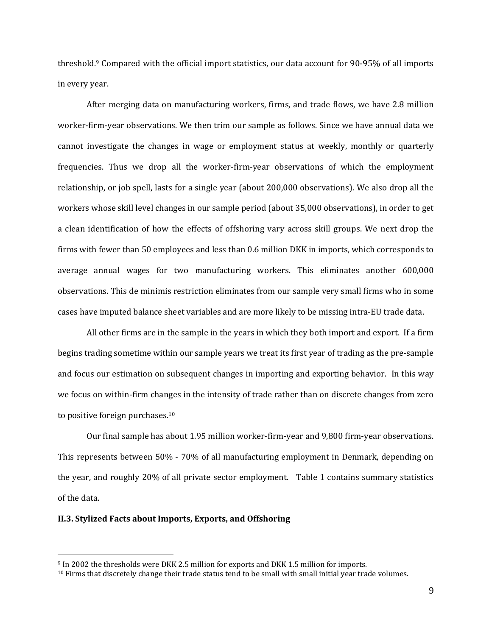threshold.<sup>9</sup> Compared with the official import statistics, our data account for 90-95% of all imports in every year.

After merging data on manufacturing workers, firms, and trade flows, we have 2.8 million worker-firm-year observations. We then trim our sample as follows. Since we have annual data we cannot investigate the changes in wage or employment status at weekly, monthly or quarterly frequencies. Thus we drop all the worker-firm-year observations of which the employment relationship, or job spell, lasts for a single year (about 200,000 observations). We also drop all the workers whose skill level changes in our sample period (about 35,000 observations), in order to get a clean identification of how the effects of offshoring vary across skill groups. We next drop the firms with fewer than 50 employees and less than 0.6 million DKK in imports, which corresponds to average annual wages for two manufacturing workers. This eliminates another 600,000 observations. This de minimis restriction eliminates from our sample very small firms who in some cases have imputed balance sheet variables and are more likely to be missing intra-EU trade data.

All other firms are in the sample in the years in which they both import and export. If a firm begins trading sometime within our sample years we treat its first year of trading as the pre-sample and focus our estimation on subsequent changes in importing and exporting behavior. In this way we focus on within-firm changes in the intensity of trade rather than on discrete changes from zero to positive foreign purchases.<sup>10</sup>

Our final sample has about 1.95 million worker-firm-year and 9,800 firm-year observations. This represents between 50% - 70% of all manufacturing employment in Denmark, depending on the year, and roughly  $20\%$  of all private sector employment. Table 1 contains summary statistics of the data.

### **II.3. Stylized Facts about Imports, Exports, and Offshoring**

<sup>&</sup>lt;sup>9</sup> In 2002 the thresholds were DKK 2.5 million for exports and DKK 1.5 million for imports.

 $10$  Firms that discretely change their trade status tend to be small with small initial year trade volumes.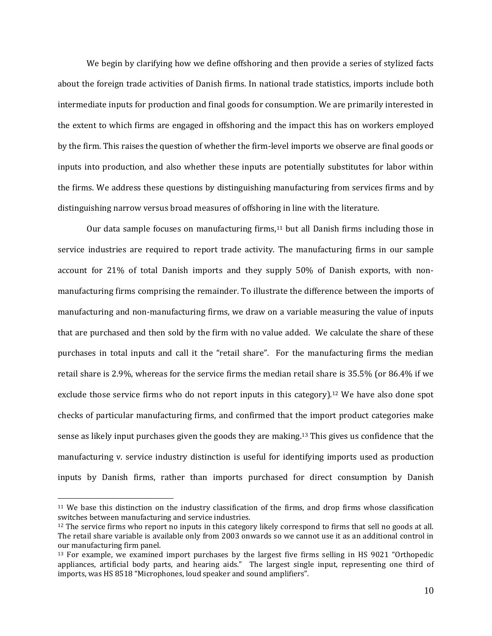We begin by clarifying how we define offshoring and then provide a series of stylized facts about the foreign trade activities of Danish firms. In national trade statistics, imports include both intermediate inputs for production and final goods for consumption. We are primarily interested in the extent to which firms are engaged in offshoring and the impact this has on workers employed by the firm. This raises the question of whether the firm-level imports we observe are final goods or inputs into production, and also whether these inputs are potentially substitutes for labor within the firms. We address these questions by distinguishing manufacturing from services firms and by distinguishing narrow versus broad measures of offshoring in line with the literature.

Our data sample focuses on manufacturing firms,<sup>11</sup> but all Danish firms including those in service industries are required to report trade activity. The manufacturing firms in our sample account for  $21\%$  of total Danish imports and they supply  $50\%$  of Danish exports, with nonmanufacturing firms comprising the remainder. To illustrate the difference between the imports of manufacturing and non-manufacturing firms, we draw on a variable measuring the value of inputs that are purchased and then sold by the firm with no value added. We calculate the share of these purchases in total inputs and call it the "retail share". For the manufacturing firms the median retail share is 2.9%, whereas for the service firms the median retail share is  $35.5\%$  (or  $86.4\%$  if we exclude those service firms who do not report inputs in this category).<sup>12</sup> We have also done spot checks of particular manufacturing firms, and confirmed that the import product categories make sense as likely input purchases given the goods they are making.<sup>13</sup> This gives us confidence that the manufacturing v. service industry distinction is useful for identifying imports used as production inputs by Danish firms, rather than imports purchased for direct consumption by Danish

<sup>&</sup>lt;sup>11</sup> We base this distinction on the industry classification of the firms, and drop firms whose classification switches between manufacturing and service industries.

 $12$  The service firms who report no inputs in this category likely correspond to firms that sell no goods at all. The retail share variable is available only from 2003 onwards so we cannot use it as an additional control in our manufacturing firm panel.

 $13$  For example, we examined import purchases by the largest five firms selling in HS 9021 "Orthopedic appliances, artificial body parts, and hearing aids." The largest single input, representing one third of imports, was HS 8518 "Microphones, loud speaker and sound amplifiers".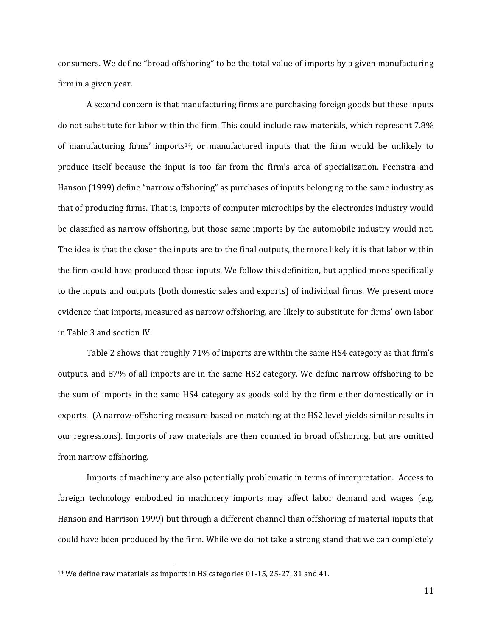consumers. We define "broad offshoring" to be the total value of imports by a given manufacturing firm in a given year.

A second concern is that manufacturing firms are purchasing foreign goods but these inputs do not substitute for labor within the firm. This could include raw materials, which represent 7.8% of manufacturing firms' imports<sup>14</sup>, or manufactured inputs that the firm would be unlikely to produce itself because the input is too far from the firm's area of specialization. Feenstra and Hanson (1999) define "narrow offshoring" as purchases of inputs belonging to the same industry as that of producing firms. That is, imports of computer microchips by the electronics industry would be classified as narrow offshoring, but those same imports by the automobile industry would not. The idea is that the closer the inputs are to the final outputs, the more likely it is that labor within the firm could have produced those inputs. We follow this definition, but applied more specifically to the inputs and outputs (both domestic sales and exports) of individual firms. We present more evidence that imports, measured as narrow offshoring, are likely to substitute for firms' own labor in Table 3 and section IV.

Table 2 shows that roughly 71% of imports are within the same HS4 category as that firm's outputs, and 87% of all imports are in the same HS2 category. We define narrow offshoring to be the sum of imports in the same HS4 category as goods sold by the firm either domestically or in exports. (A narrow-offshoring measure based on matching at the HS2 level yields similar results in our regressions). Imports of raw materials are then counted in broad offshoring, but are omitted from narrow offshoring.

Imports of machinery are also potentially problematic in terms of interpretation. Access to foreign technology embodied in machinery imports may affect labor demand and wages (e.g. Hanson and Harrison 1999) but through a different channel than offshoring of material inputs that could have been produced by the firm. While we do not take a strong stand that we can completely

 $14$  We define raw materials as imports in HS categories 01-15, 25-27, 31 and 41.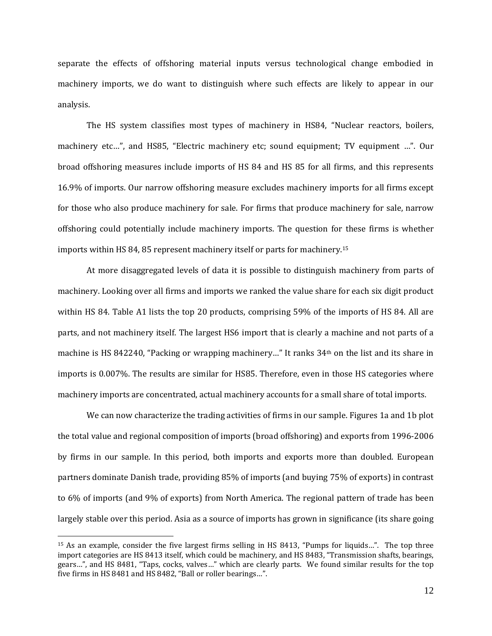separate the effects of offshoring material inputs versus technological change embodied in machinery imports, we do want to distinguish where such effects are likely to appear in our analysis. 

The HS system classifies most types of machinery in HS84, "Nuclear reactors, boilers, machinery etc...", and HS85, "Electric machinery etc; sound equipment; TV equipment ...". Our broad offshoring measures include imports of HS 84 and HS 85 for all firms, and this represents 16.9% of imports. Our narrow offshoring measure excludes machinery imports for all firms except for those who also produce machinery for sale. For firms that produce machinery for sale, narrow offshoring could potentially include machinery imports. The question for these firms is whether imports within HS 84, 85 represent machinery itself or parts for machinery.<sup>15</sup>

At more disaggregated levels of data it is possible to distinguish machinery from parts of machinery. Looking over all firms and imports we ranked the value share for each six digit product within HS 84. Table A1 lists the top 20 products, comprising 59% of the imports of HS 84. All are parts, and not machinery itself. The largest HS6 import that is clearly a machine and not parts of a machine is HS 842240, "Packing or wrapping machinery..." It ranks 34<sup>th</sup> on the list and its share in imports is 0.007%. The results are similar for HS85. Therefore, even in those HS categories where machinery imports are concentrated, actual machinery accounts for a small share of total imports.

We can now characterize the trading activities of firms in our sample. Figures 1a and 1b plot the total value and regional composition of imports (broad offshoring) and exports from 1996-2006 by firms in our sample. In this period, both imports and exports more than doubled. European partners dominate Danish trade, providing 85% of imports (and buying 75% of exports) in contrast to 6% of imports (and 9% of exports) from North America. The regional pattern of trade has been largely stable over this period. Asia as a source of imports has grown in significance (its share going

 $15$  As an example, consider the five largest firms selling in HS 8413, "Pumps for liquids...". The top three import categories are HS 8413 itself, which could be machinery, and HS 8483, "Transmission shafts, bearings, gears...", and HS 8481, "Taps, cocks, valves..." which are clearly parts. We found similar results for the top five firms in HS 8481 and HS 8482, "Ball or roller bearings...".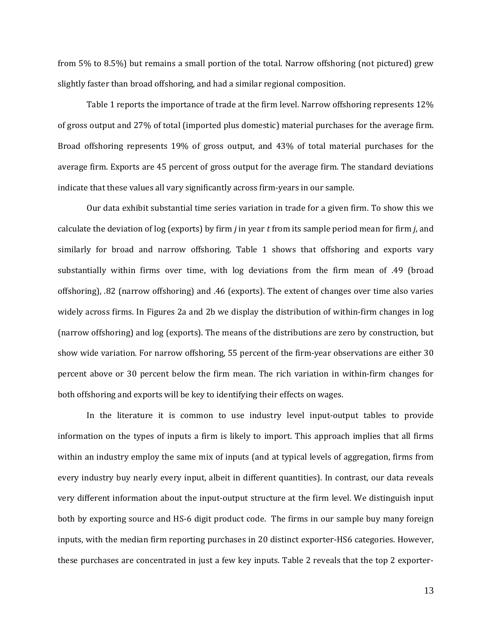from  $5\%$  to  $8.5\%$ ) but remains a small portion of the total. Narrow offshoring (not pictured) grew slightly faster than broad offshoring, and had a similar regional composition.

Table 1 reports the importance of trade at the firm level. Narrow offshoring represents  $12\%$ of gross output and 27% of total (imported plus domestic) material purchases for the average firm. Broad offshoring represents 19% of gross output, and 43% of total material purchases for the average firm. Exports are 45 percent of gross output for the average firm. The standard deviations indicate that these values all vary significantly across firm-years in our sample.

Our data exhibit substantial time series variation in trade for a given firm. To show this we calculate the deviation of log (exports) by firm  $j$  in year  $t$  from its sample period mean for firm  $j$ , and similarly for broad and narrow offshoring. Table 1 shows that offshoring and exports vary substantially within firms over time, with log deviations from the firm mean of .49 (broad offshoring), .82 (narrow offshoring) and .46 (exports). The extent of changes over time also varies widely across firms. In Figures 2a and 2b we display the distribution of within-firm changes in log (narrow offshoring) and log (exports). The means of the distributions are zero by construction, but show wide variation. For narrow offshoring, 55 percent of the firm-year observations are either 30 percent above or 30 percent below the firm mean. The rich variation in within-firm changes for both offshoring and exports will be key to identifying their effects on wages.

In the literature it is common to use industry level input-output tables to provide information on the types of inputs a firm is likely to import. This approach implies that all firms within an industry employ the same mix of inputs (and at typical levels of aggregation, firms from every industry buy nearly every input, albeit in different quantities). In contrast, our data reveals very different information about the input-output structure at the firm level. We distinguish input both by exporting source and HS-6 digit product code. The firms in our sample buy many foreign inputs, with the median firm reporting purchases in 20 distinct exporter-HS6 categories. However, these purchases are concentrated in just a few key inputs. Table 2 reveals that the top 2 exporter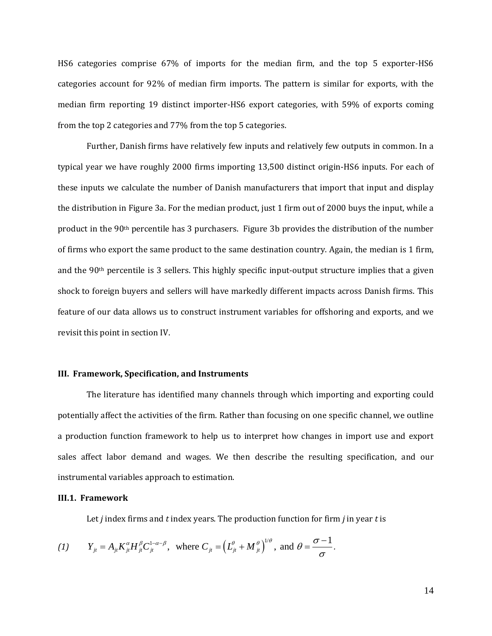HS6 categories comprise  $67\%$  of imports for the median firm, and the top 5 exporter-HS6 categories account for 92% of median firm imports. The pattern is similar for exports, with the median firm reporting 19 distinct importer-HS6 export categories, with 59% of exports coming from the top 2 categories and 77% from the top 5 categories.

Further, Danish firms have relatively few inputs and relatively few outputs in common. In a typical year we have roughly 2000 firms importing 13,500 distinct origin-HS6 inputs. For each of these inputs we calculate the number of Danish manufacturers that import that input and display the distribution in Figure 3a. For the median product, just 1 firm out of 2000 buys the input, while a product in the  $90<sup>th</sup>$  percentile has 3 purchasers. Figure 3b provides the distribution of the number of firms who export the same product to the same destination country. Again, the median is 1 firm, and the  $90<sup>th</sup>$  percentile is 3 sellers. This highly specific input-output structure implies that a given shock to foreign buyers and sellers will have markedly different impacts across Danish firms. This feature of our data allows us to construct instrument variables for offshoring and exports, and we revisit this point in section IV.

#### **III. Framework, Specification, and Instruments**

The literature has identified many channels through which importing and exporting could potentially affect the activities of the firm. Rather than focusing on one specific channel, we outline a production function framework to help us to interpret how changes in import use and export sales affect labor demand and wages. We then describe the resulting specification, and our instrumental variables approach to estimation.

#### **III.1. Framework**

Let *j* index firms and *t* index years. The production function for firm *j* in year *t* is

(1) 
$$
Y_{ji} = A_{ji} K_{ji}^{\alpha} H_{ji}^{\beta} C_{ji}^{1-\alpha-\beta}
$$
, where  $C_{ji} = (L_{ji}^{\theta} + M_{ji}^{\theta})^{1/\theta}$ , and  $\theta = \frac{\sigma - 1}{\sigma}$ .

14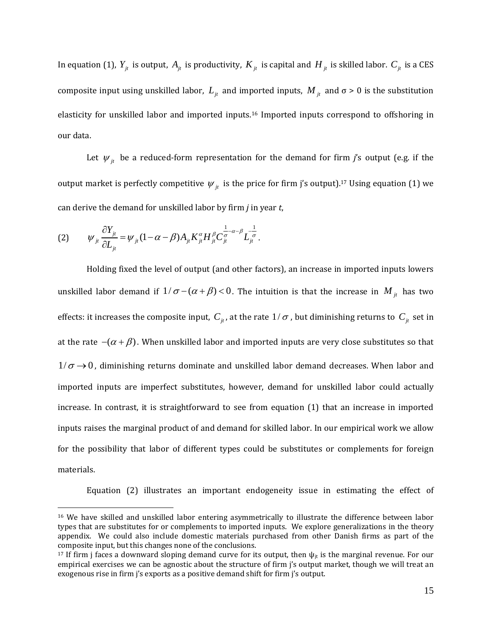In equation (1),  $Y_i$  is output,  $A_i$  is productivity,  $K_i$  is capital and  $H_i$  is skilled labor.  $C_i$  is a CES composite input using unskilled labor,  $L_{it}$  and imported inputs,  $M_{it}$  and  $\sigma > 0$  is the substitution elasticity for unskilled labor and imported inputs.<sup>16</sup> Imported inputs correspond to offshoring in our data.

Let  $\psi_{it}$  be a reduced-form representation for the demand for firm *j*'s output (e.g. if the output market is perfectly competitive  $\psi_{it}$  is the price for firm j's output).<sup>17</sup> Using equation (1) we can derive the demand for unskilled labor by firm *j* in year *t*,

$$
(2) \qquad \psi_{ji} \frac{\partial Y_{ji}}{\partial L_{ji}} = \psi_{ji} (1 - \alpha - \beta) A_{ji} K_{ji}^{\alpha} H_{ji}^{\beta} C_{ji}^{\frac{1}{\sigma} - \alpha - \beta} L_{ji}^{\frac{1}{\sigma}}.
$$

 $\overline{a}$ 

Holding fixed the level of output (and other factors), an increase in imported inputs lowers unskilled labor demand if  $1/\sigma - (\alpha + \beta) < 0$ . The intuition is that the increase in  $M_{jt}$  has two effects: it increases the composite input,  $C_{it}$ , at the rate  $1/\sigma$ , but diminishing returns to  $C_{it}$  set in at the rate  $-({\alpha} + {\beta})$ . When unskilled labor and imported inputs are very close substitutes so that  $1/\sigma \rightarrow 0$ , diminishing returns dominate and unskilled labor demand decreases. When labor and imported inputs are imperfect substitutes, however, demand for unskilled labor could actually increase. In contrast, it is straightforward to see from equation  $(1)$  that an increase in imported inputs raises the marginal product of and demand for skilled labor. In our empirical work we allow for the possibility that labor of different types could be substitutes or complements for foreign materials. 

Equation (2) illustrates an important endogeneity issue in estimating the effect of

<sup>&</sup>lt;sup>16</sup> We have skilled and unskilled labor entering asymmetrically to illustrate the difference between labor types that are substitutes for or complements to imported inputs. We explore generalizations in the theory appendix. We could also include domestic materials purchased from other Danish firms as part of the composite input, but this changes none of the conclusions.

<sup>&</sup>lt;sup>17</sup> If firm j faces a downward sloping demand curve for its output, then  $\psi_{it}$  is the marginal revenue. For our empirical exercises we can be agnostic about the structure of firm j's output market, though we will treat an exogenous rise in firm j's exports as a positive demand shift for firm j's output.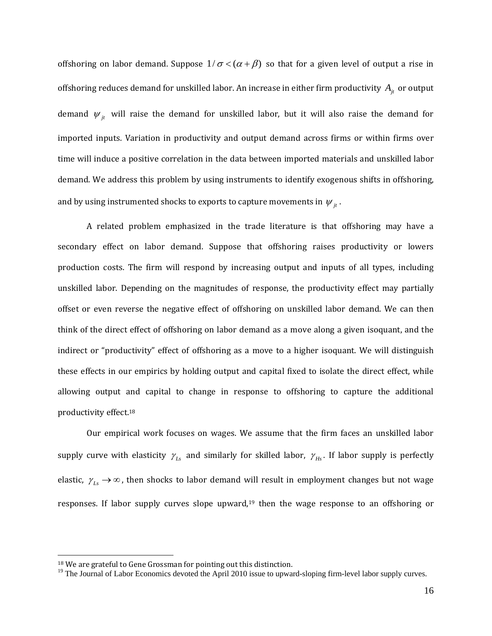offshoring on labor demand. Suppose  $1/\sigma < (\alpha + \beta)$  so that for a given level of output a rise in offshoring reduces demand for unskilled labor. An increase in either firm productivity  $A_{it}$  or output demand  $\psi_{it}$  will raise the demand for unskilled labor, but it will also raise the demand for imported inputs. Variation in productivity and output demand across firms or within firms over time will induce a positive correlation in the data between imported materials and unskilled labor demand. We address this problem by using instruments to identify exogenous shifts in offshoring, and by using instrumented shocks to exports to capture movements in  $\psi_{i}$ .

A related problem emphasized in the trade literature is that offshoring may have a secondary effect on labor demand. Suppose that offshoring raises productivity or lowers production costs. The firm will respond by increasing output and inputs of all types, including unskilled labor. Depending on the magnitudes of response, the productivity effect may partially offset or even reverse the negative effect of offshoring on unskilled labor demand. We can then think of the direct effect of offshoring on labor demand as a move along a given isoquant, and the indirect or "productivity" effect of offshoring as a move to a higher isoquant. We will distinguish these effects in our empirics by holding output and capital fixed to isolate the direct effect, while allowing output and capital to change in response to offshoring to capture the additional productivity effect.<sup>18</sup>

Our empirical work focuses on wages. We assume that the firm faces an unskilled labor supply curve with elasticity  $\gamma_{Ls}$  and similarly for skilled labor,  $\gamma_{Hs}$ . If labor supply is perfectly elastic,  $\gamma_{Ls} \rightarrow \infty$ , then shocks to labor demand will result in employment changes but not wage responses. If labor supply curves slope upward,<sup>19</sup> then the wage response to an offshoring or

<sup>&</sup>lt;sup>18</sup> We are grateful to Gene Grossman for pointing out this distinction.

 $19$  The Journal of Labor Economics devoted the April 2010 issue to upward-sloping firm-level labor supply curves.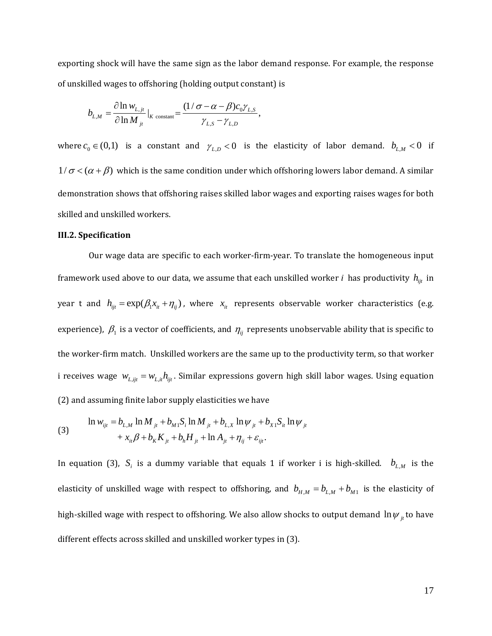exporting shock will have the same sign as the labor demand response. For example, the response of unskilled wages to offshoring (holding output constant) is

$$
b_{L,M} = \frac{\partial \ln w_{L,j}}{\partial \ln M_{ji}}|_{K \text{ constant}} = \frac{(1/\sigma - \alpha - \beta)c_0\gamma_{L,S}}{\gamma_{L,S} - \gamma_{L,D}},
$$

where  $c_0 \in (0,1)$  is a constant and  $\gamma_{L,D} < 0$  is the elasticity of labor demand.  $b_{L,M} < 0$  if  $1/\sigma < (\alpha + \beta)$  which is the same condition under which offshoring lowers labor demand. A similar demonstration shows that offshoring raises skilled labor wages and exporting raises wages for both skilled and unskilled workers.

#### **III.2. Specification**

Our wage data are specific to each worker-firm-year. To translate the homogeneous input framework used above to our data, we assume that each unskilled worker *i* has productivity  $h_{ijt}$  in year t and  $h_{ijt} = \exp(\beta_1 x_{it} + \eta_{ij})$ , where  $x_{it}$  represents observable worker characteristics (e.g. experience),  $\beta_1$  is a vector of coefficients, and  $\eta_{ij}$  represents unobservable ability that is specific to the worker-firm match. Unskilled workers are the same up to the productivity term, so that worker i receives wage  $w_{L, iit} = w_{L, ii} h_{iit}$ . Similar expressions govern high skill labor wages. Using equation (2) and assuming finite labor supply elasticities we have

(3) 
$$
\ln w_{ijt} = b_{L,M} \ln M_{jt} + b_{M1} S_i \ln M_{jt} + b_{L,X} \ln \psi_{jt} + b_{X1} S_{it} \ln \psi_{jt} + x_{it} \beta + b_K K_{jt} + b_h H_{jt} + \ln A_{jt} + \eta_{ij} + \varepsilon_{ijt}.
$$

In equation (3),  $S_i$  is a dummy variable that equals 1 if worker i is high-skilled.  $b_{L,M}$  is the elasticity of unskilled wage with respect to offshoring, and  $b_{H,M} = b_{L,M} + b_{M1}$  is the elasticity of high-skilled wage with respect to offshoring. We also allow shocks to output demand  $\ln \psi_{jt}$  to have different effects across skilled and unskilled worker types in (3).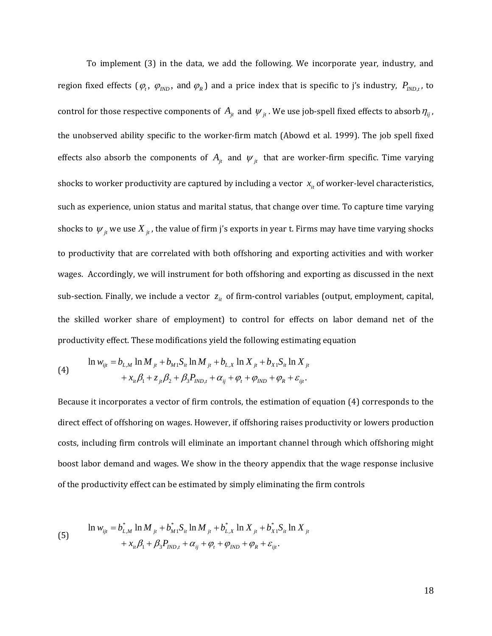To implement (3) in the data, we add the following. We incorporate year, industry, and region fixed effects  $(\varphi_t, \varphi_{IND}$ , and  $\varphi_R$ ) and a price index that is specific to j's industry,  $P_{IND,t}$ , to control for those respective components of  $A_{jt}$  and  $\psi_{jt}$ . We use job-spell fixed effects to absorb  $\eta_{ij}$ , the unobserved ability specific to the worker-firm match (Abowd et al. 1999). The job spell fixed effects also absorb the components of  $A_{jt}$  and  $\psi_{jt}$  that are worker-firm specific. Time varying shocks to worker productivity are captured by including a vector  $x_{it}$  of worker-level characteristics, such as experience, union status and marital status, that change over time. To capture time varying shocks to  $\psi_{jt}$  we use  $X_{jt}$ , the value of firm j's exports in year t. Firms may have time varying shocks to productivity that are correlated with both offshoring and exporting activities and with worker wages. Accordingly, we will instrument for both offshoring and exporting as discussed in the next sub-section. Finally, we include a vector  $z_{it}$  of firm-control variables (output, employment, capital, the skilled worker share of employment) to control for effects on labor demand net of the productivity effect. These modifications yield the following estimating equation

(4) 
$$
\ln w_{ijt} = b_{L,M} \ln M_{jt} + b_{M1} S_{it} \ln M_{jt} + b_{L,X} \ln X_{jt} + b_{X1} S_{it} \ln X_{jt} + x_{it} \beta_1 + z_{jt} \beta_2 + \beta_3 P_{IND,t} + \alpha_{ij} + \varphi_t + \varphi_{IND} + \varphi_R + \varepsilon_{ijt}.
$$

Because it incorporates a vector of firm controls, the estimation of equation (4) corresponds to the direct effect of offshoring on wages. However, if offshoring raises productivity or lowers production costs, including firm controls will eliminate an important channel through which offshoring might boost labor demand and wages. We show in the theory appendix that the wage response inclusive of the productivity effect can be estimated by simply eliminating the firm controls

(5) 
$$
\ln w_{ijt} = b_{L,M}^* \ln M_{jt} + b_{M1}^* S_{it} \ln M_{jt} + b_{L,X}^* \ln X_{jt} + b_{X1}^* S_{it} \ln X_{jt} + x_{it} \beta_1 + \beta_3 P_{IND,t} + \alpha_{ij} + \varphi_t + \varphi_{IND} + \varphi_R + \varepsilon_{ijt}.
$$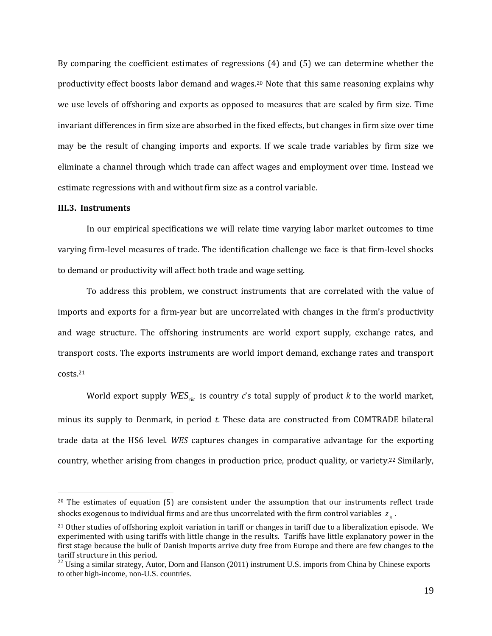By comparing the coefficient estimates of regressions  $(4)$  and  $(5)$  we can determine whether the productivity effect boosts labor demand and wages.<sup>20</sup> Note that this same reasoning explains why we use levels of offshoring and exports as opposed to measures that are scaled by firm size. Time invariant differences in firm size are absorbed in the fixed effects, but changes in firm size over time may be the result of changing imports and exports. If we scale trade variables by firm size we eliminate a channel through which trade can affect wages and employment over time. Instead we estimate regressions with and without firm size as a control variable.

### **III.3. Instruments**

 $\overline{a}$ 

In our empirical specifications we will relate time varying labor market outcomes to time varying firm-level measures of trade. The identification challenge we face is that firm-level shocks to demand or productivity will affect both trade and wage setting.

To address this problem, we construct instruments that are correlated with the value of imports and exports for a firm-year but are uncorrelated with changes in the firm's productivity and wage structure. The offshoring instruments are world export supply, exchange rates, and transport costs. The exports instruments are world import demand, exchange rates and transport costs.21 

World export supply  $WES_{\text{ctr}}$  is country *c*'s total supply of product *k* to the world market, minus its supply to Denmark, in period t. These data are constructed from COMTRADE bilateral trade data at the HS6 level. *WES* captures changes in comparative advantage for the exporting country, whether arising from changes in production price, product quality, or variety.<sup>22</sup> Similarly,

 $20$  The estimates of equation (5) are consistent under the assumption that our instruments reflect trade shocks exogenous to individual firms and are thus uncorrelated with the firm control variables  $z_{\perp}$ .

 $21$  Other studies of offshoring exploit variation in tariff or changes in tariff due to a liberalization episode. We experimented with using tariffs with little change in the results. Tariffs have little explanatory power in the first stage because the bulk of Danish imports arrive duty free from Europe and there are few changes to the tariff structure in this period.

<sup>&</sup>lt;sup>22</sup> Using a similar strategy, Autor, Dorn and Hanson (2011) instrument U.S. imports from China by Chinese exports to other high-income, non-U.S. countries.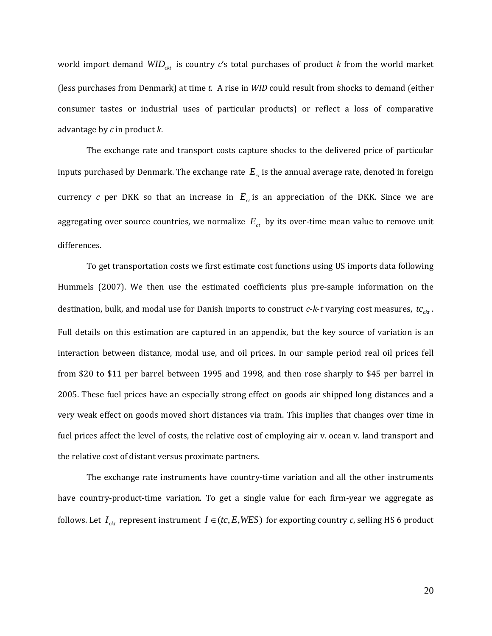world import demand  $WID_{\text{ckt}}$  is country *c*'s total purchases of product *k* from the world market (less purchases from Denmark) at time *t*. A rise in *WID* could result from shocks to demand (either consumer tastes or industrial uses of particular products) or reflect a loss of comparative advantage by *c* in product *k*. 

The exchange rate and transport costs capture shocks to the delivered price of particular inputs purchased by Denmark. The exchange rate  $E_{ct}$  is the annual average rate, denoted in foreign currency *c* per DKK so that an increase in  $E_{ct}$  is an appreciation of the DKK. Since we are aggregating over source countries, we normalize  $E_{ct}$  by its over-time mean value to remove unit differences. 

To get transportation costs we first estimate cost functions using US imports data following Hummels (2007). We then use the estimated coefficients plus pre-sample information on the destination, bulk, and modal use for Danish imports to construct *c*-*k*-*t* varying cost measures,  $tc_{ckt}$ . Full details on this estimation are captured in an appendix, but the key source of variation is an interaction between distance, modal use, and oil prices. In our sample period real oil prices fell from \$20 to \$11 per barrel between 1995 and 1998, and then rose sharply to \$45 per barrel in 2005. These fuel prices have an especially strong effect on goods air shipped long distances and a very weak effect on goods moved short distances via train. This implies that changes over time in fuel prices affect the level of costs, the relative cost of employing air v. ocean v. land transport and the relative cost of distant versus proximate partners.

The exchange rate instruments have country-time variation and all the other instruments have country-product-time variation. To get a single value for each firm-year we aggregate as follows. Let  $I_{ckt}$  represent instrument  $I \in (tc, E, WES)$  for exporting country *c*, selling HS 6 product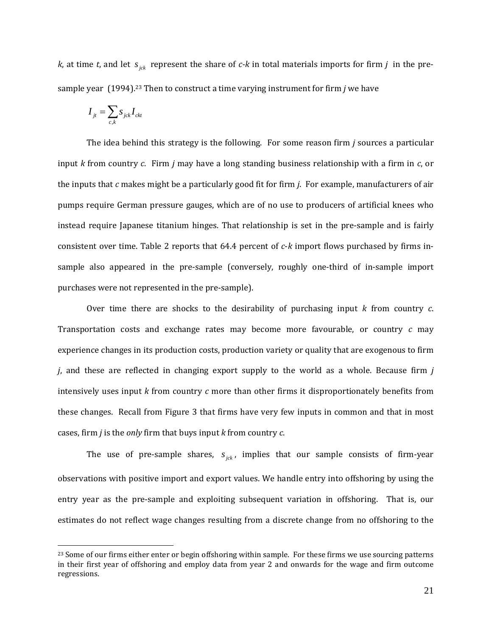*k*, at time *t*, and let  $s_{ick}$  represent the share of *c*-*k* in total materials imports for firm *j* in the presample year (1994).<sup>23</sup> Then to construct a time varying instrument for firm *j* we have

$$
I_{it} = \sum_{c,k} s_{jck} I_{ck}
$$

 $\overline{a}$ 

The idea behind this strategy is the following. For some reason firm  $j$  sources a particular input *k* from country *c*. Firm *j* may have a long standing business relationship with a firm in *c*, or the inputs that  $c$  makes might be a particularly good fit for firm  $j$ . For example, manufacturers of air pumps require German pressure gauges, which are of no use to producers of artificial knees who instead require Japanese titanium hinges. That relationship is set in the pre-sample and is fairly consistent over time. Table 2 reports that 64.4 percent of *c*-*k* import flows purchased by firms insample also appeared in the pre-sample (conversely, roughly one-third of in-sample import purchases were not represented in the pre-sample).

Over time there are shocks to the desirability of purchasing input  $k$  from country  $c$ . Transportation costs and exchange rates may become more favourable, or country *c* may experience changes in its production costs, production variety or quality that are exogenous to firm *j*, and these are reflected in changing export supply to the world as a whole. Because firm *j* intensively uses input  $k$  from country  $c$  more than other firms it disproportionately benefits from these changes. Recall from Figure 3 that firms have very few inputs in common and that in most cases, firm *j* is the *only* firm that buys input *k* from country *c*.

The use of pre-sample shares,  $s_{i,k}$ , implies that our sample consists of firm-year observations with positive import and export values. We handle entry into offshoring by using the entry year as the pre-sample and exploiting subsequent variation in offshoring. That is, our estimates do not reflect wage changes resulting from a discrete change from no offshoring to the

<sup>&</sup>lt;sup>23</sup> Some of our firms either enter or begin offshoring within sample. For these firms we use sourcing patterns in their first year of offshoring and employ data from year  $2$  and onwards for the wage and firm outcome regressions.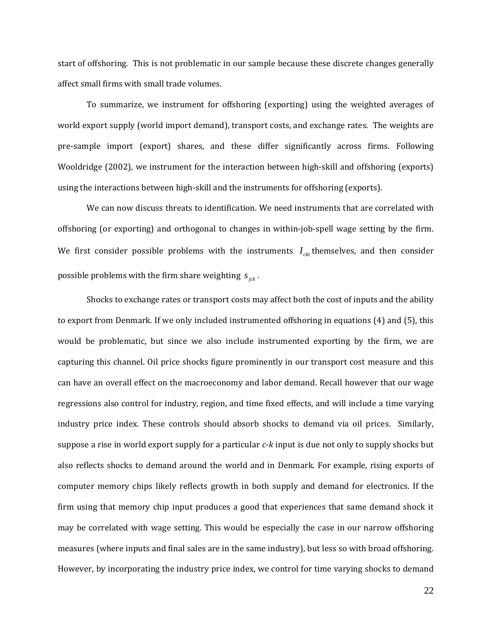start of offshoring. This is not problematic in our sample because these discrete changes generally affect small firms with small trade volumes.

To summarize, we instrument for offshoring (exporting) using the weighted averages of world export supply (world import demand), transport costs, and exchange rates. The weights are pre-sample import (export) shares, and these differ significantly across firms. Following Wooldridge (2002), we instrument for the interaction between high-skill and offshoring (exports) using the interactions between high-skill and the instruments for offshoring (exports).

We can now discuss threats to identification. We need instruments that are correlated with offshoring (or exporting) and orthogonal to changes in within-job-spell wage setting by the firm. We first consider possible problems with the instruments  $I_{ck}$  themselves, and then consider possible problems with the firm share weighting  $s_{ick}$ .

Shocks to exchange rates or transport costs may affect both the cost of inputs and the ability to export from Denmark. If we only included instrumented offshoring in equations (4) and (5), this would be problematic, but since we also include instrumented exporting by the firm, we are capturing this channel. Oil price shocks figure prominently in our transport cost measure and this can have an overall effect on the macroeconomy and labor demand. Recall however that our wage regressions also control for industry, region, and time fixed effects, and will include a time varying industry price index. These controls should absorb shocks to demand via oil prices. Similarly, suppose a rise in world export supply for a particular  $c$ -*k* input is due not only to supply shocks but also reflects shocks to demand around the world and in Denmark. For example, rising exports of computer memory chips likely reflects growth in both supply and demand for electronics. If the firm using that memory chip input produces a good that experiences that same demand shock it may be correlated with wage setting. This would be especially the case in our narrow offshoring measures (where inputs and final sales are in the same industry), but less so with broad offshoring. However, by incorporating the industry price index, we control for time varying shocks to demand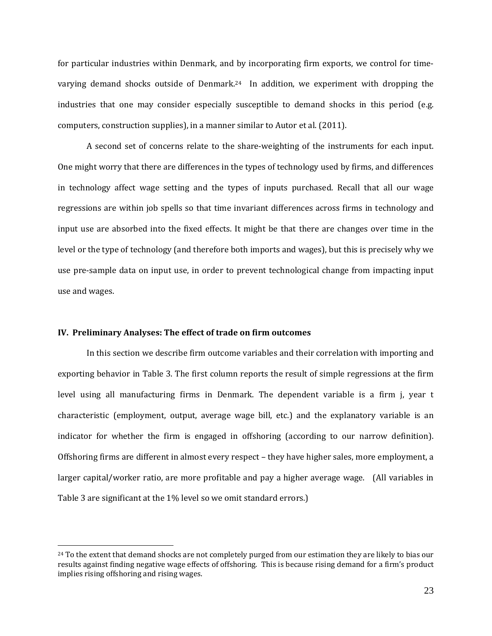for particular industries within Denmark, and by incorporating firm exports, we control for timevarying demand shocks outside of Denmark.<sup>24</sup> In addition, we experiment with dropping the industries that one may consider especially susceptible to demand shocks in this period (e.g. computers, construction supplies), in a manner similar to Autor et al. (2011).

A second set of concerns relate to the share-weighting of the instruments for each input. One might worry that there are differences in the types of technology used by firms, and differences in technology affect wage setting and the types of inputs purchased. Recall that all our wage regressions are within job spells so that time invariant differences across firms in technology and input use are absorbed into the fixed effects. It might be that there are changes over time in the level or the type of technology (and therefore both imports and wages), but this is precisely why we use pre-sample data on input use, in order to prevent technological change from impacting input use and wages.

### **IV. Preliminary Analyses: The effect of trade on firm outcomes**

 $\overline{a}$ 

In this section we describe firm outcome variables and their correlation with importing and exporting behavior in Table 3. The first column reports the result of simple regressions at the firm level using all manufacturing firms in Denmark. The dependent variable is a firm *j*, year t characteristic (employment, output, average wage bill, etc.) and the explanatory variable is an indicator for whether the firm is engaged in offshoring (according to our narrow definition). Offshoring firms are different in almost every respect – they have higher sales, more employment, a larger capital/worker ratio, are more profitable and pay a higher average wage. (All variables in Table 3 are significant at the 1% level so we omit standard errors.)

<sup>&</sup>lt;sup>24</sup> To the extent that demand shocks are not completely purged from our estimation they are likely to bias our results against finding negative wage effects of offshoring. This is because rising demand for a firm's product implies rising offshoring and rising wages.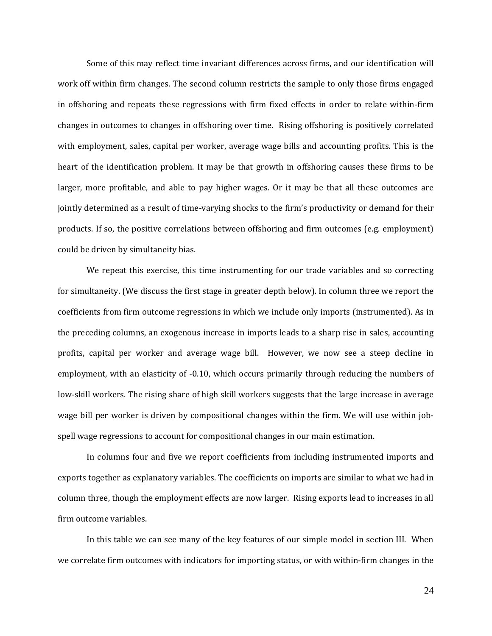Some of this may reflect time invariant differences across firms, and our identification will work off within firm changes. The second column restricts the sample to only those firms engaged in offshoring and repeats these regressions with firm fixed effects in order to relate within-firm changes in outcomes to changes in offshoring over time. Rising offshoring is positively correlated with employment, sales, capital per worker, average wage bills and accounting profits. This is the heart of the identification problem. It may be that growth in offshoring causes these firms to be larger, more profitable, and able to pay higher wages. Or it may be that all these outcomes are jointly determined as a result of time-varying shocks to the firm's productivity or demand for their products. If so, the positive correlations between offshoring and firm outcomes (e.g. employment) could be driven by simultaneity bias.

We repeat this exercise, this time instrumenting for our trade variables and so correcting for simultaneity. (We discuss the first stage in greater depth below). In column three we report the coefficients from firm outcome regressions in which we include only imports (instrumented). As in the preceding columns, an exogenous increase in imports leads to a sharp rise in sales, accounting profits, capital per worker and average wage bill. However, we now see a steep decline in employment, with an elasticity of  $-0.10$ , which occurs primarily through reducing the numbers of low-skill workers. The rising share of high skill workers suggests that the large increase in average wage bill per worker is driven by compositional changes within the firm. We will use within jobspell wage regressions to account for compositional changes in our main estimation.

In columns four and five we report coefficients from including instrumented imports and exports together as explanatory variables. The coefficients on imports are similar to what we had in column three, though the employment effects are now larger. Rising exports lead to increases in all firm outcome variables.

In this table we can see many of the key features of our simple model in section III. When we correlate firm outcomes with indicators for importing status, or with within-firm changes in the

24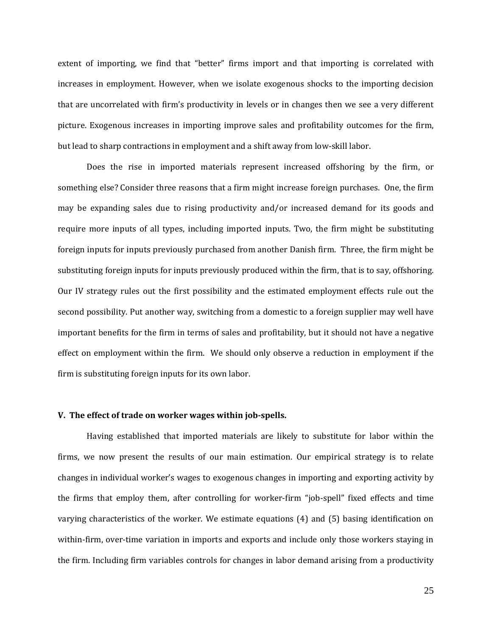extent of importing, we find that "better" firms import and that importing is correlated with increases in employment. However, when we isolate exogenous shocks to the importing decision that are uncorrelated with firm's productivity in levels or in changes then we see a very different picture. Exogenous increases in importing improve sales and profitability outcomes for the firm, but lead to sharp contractions in employment and a shift away from low-skill labor.

Does the rise in imported materials represent increased offshoring by the firm, or something else? Consider three reasons that a firm might increase foreign purchases. One, the firm may be expanding sales due to rising productivity and/or increased demand for its goods and require more inputs of all types, including imported inputs. Two, the firm might be substituting foreign inputs for inputs previously purchased from another Danish firm. Three, the firm might be substituting foreign inputs for inputs previously produced within the firm, that is to say, offshoring. Our IV strategy rules out the first possibility and the estimated employment effects rule out the second possibility. Put another way, switching from a domestic to a foreign supplier may well have important benefits for the firm in terms of sales and profitability, but it should not have a negative effect on employment within the firm. We should only observe a reduction in employment if the firm is substituting foreign inputs for its own labor.

#### **V. The effect of trade on worker wages within job‐spells.**

Having established that imported materials are likely to substitute for labor within the firms, we now present the results of our main estimation. Our empirical strategy is to relate changes in individual worker's wages to exogenous changes in importing and exporting activity by the firms that employ them, after controlling for worker-firm "job-spell" fixed effects and time varying characteristics of the worker. We estimate equations  $(4)$  and  $(5)$  basing identification on within-firm, over-time variation in imports and exports and include only those workers staying in the firm. Including firm variables controls for changes in labor demand arising from a productivity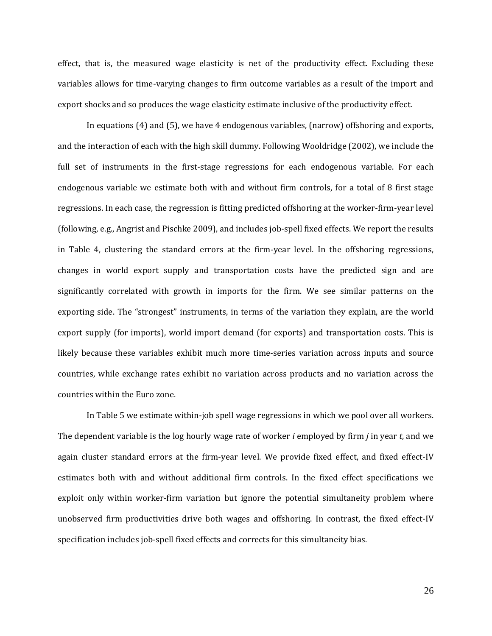effect, that is, the measured wage elasticity is net of the productivity effect. Excluding these variables allows for time-varying changes to firm outcome variables as a result of the import and export shocks and so produces the wage elasticity estimate inclusive of the productivity effect.

In equations  $(4)$  and  $(5)$ , we have  $4$  endogenous variables, (narrow) offshoring and exports, and the interaction of each with the high skill dummy. Following Wooldridge (2002), we include the full set of instruments in the first-stage regressions for each endogenous variable. For each endogenous variable we estimate both with and without firm controls, for a total of 8 first stage regressions. In each case, the regression is fitting predicted offshoring at the worker-firm-year level (following, e.g., Angrist and Pischke 2009), and includes job-spell fixed effects. We report the results in Table 4, clustering the standard errors at the firm-year level. In the offshoring regressions, changes in world export supply and transportation costs have the predicted sign and are significantly correlated with growth in imports for the firm. We see similar patterns on the exporting side. The "strongest" instruments, in terms of the variation they explain, are the world export supply (for imports), world import demand (for exports) and transportation costs. This is likely because these variables exhibit much more time-series variation across inputs and source countries, while exchange rates exhibit no variation across products and no variation across the countries within the Euro zone.

In Table 5 we estimate within-job spell wage regressions in which we pool over all workers. The dependent variable is the log hourly wage rate of worker *i* employed by firm *j* in year *t*, and we again cluster standard errors at the firm-year level. We provide fixed effect, and fixed effect-IV estimates both with and without additional firm controls. In the fixed effect specifications we exploit only within worker-firm variation but ignore the potential simultaneity problem where unobserved firm productivities drive both wages and offshoring. In contrast, the fixed effect-IV specification includes job-spell fixed effects and corrects for this simultaneity bias.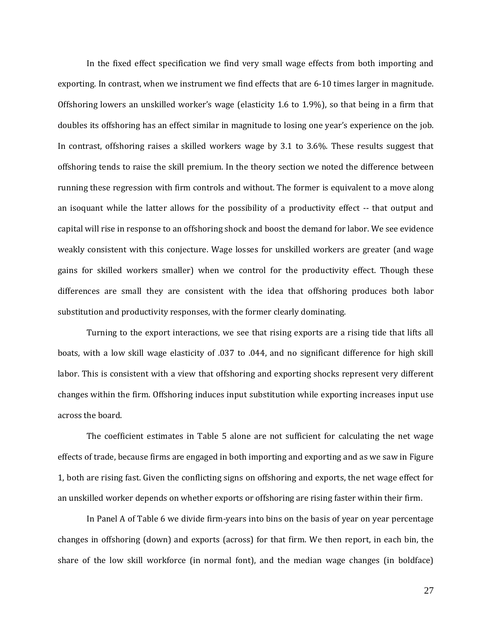In the fixed effect specification we find very small wage effects from both importing and exporting. In contrast, when we instrument we find effects that are 6-10 times larger in magnitude. Offshoring lowers an unskilled worker's wage (elasticity 1.6 to 1.9%), so that being in a firm that doubles its offshoring has an effect similar in magnitude to losing one year's experience on the job. In contrast, offshoring raises a skilled workers wage by  $3.1$  to  $3.6\%$ . These results suggest that offshoring tends to raise the skill premium. In the theory section we noted the difference between running these regression with firm controls and without. The former is equivalent to a move along an isoquant while the latter allows for the possibility of a productivity effect -- that output and capital will rise in response to an offshoring shock and boost the demand for labor. We see evidence weakly consistent with this conjecture. Wage losses for unskilled workers are greater (and wage gains for skilled workers smaller) when we control for the productivity effect. Though these differences are small they are consistent with the idea that offshoring produces both labor substitution and productivity responses, with the former clearly dominating.

Turning to the export interactions, we see that rising exports are a rising tide that lifts all boats, with a low skill wage elasticity of .037 to .044, and no significant difference for high skill labor. This is consistent with a view that offshoring and exporting shocks represent very different changes within the firm. Offshoring induces input substitution while exporting increases input use across the board.

The coefficient estimates in Table 5 alone are not sufficient for calculating the net wage effects of trade, because firms are engaged in both importing and exporting and as we saw in Figure 1, both are rising fast. Given the conflicting signs on offshoring and exports, the net wage effect for an unskilled worker depends on whether exports or offshoring are rising faster within their firm.

In Panel A of Table 6 we divide firm-years into bins on the basis of year on year percentage changes in offshoring (down) and exports (across) for that firm. We then report, in each bin, the share of the low skill workforce (in normal font), and the median wage changes (in boldface)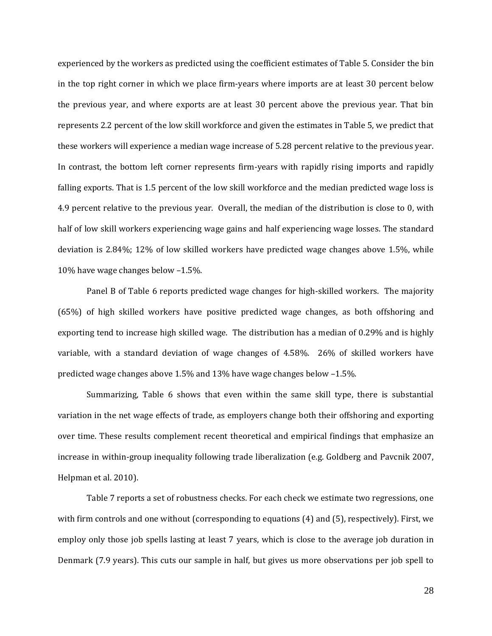experienced by the workers as predicted using the coefficient estimates of Table 5. Consider the bin in the top right corner in which we place firm-years where imports are at least 30 percent below the previous year, and where exports are at least 30 percent above the previous year. That bin represents 2.2 percent of the low skill workforce and given the estimates in Table 5, we predict that these workers will experience a median wage increase of 5.28 percent relative to the previous year. In contrast, the bottom left corner represents firm-years with rapidly rising imports and rapidly falling exports. That is 1.5 percent of the low skill workforce and the median predicted wage loss is 4.9 percent relative to the previous year. Overall, the median of the distribution is close to 0, with half of low skill workers experiencing wage gains and half experiencing wage losses. The standard deviation is  $2.84\%$ ;  $12\%$  of low skilled workers have predicted wage changes above 1.5%, while 10% have wage changes below  $-1.5$ %.

Panel B of Table 6 reports predicted wage changes for high-skilled workers. The majority  $(65%)$  of high skilled workers have positive predicted wage changes, as both offshoring and exporting tend to increase high skilled wage. The distribution has a median of 0.29% and is highly variable, with a standard deviation of wage changes of 4.58%. 26% of skilled workers have predicted wage changes above 1.5% and 13% have wage changes below -1.5%.

Summarizing, Table 6 shows that even within the same skill type, there is substantial variation in the net wage effects of trade, as employers change both their offshoring and exporting over time. These results complement recent theoretical and empirical findings that emphasize an increase in within-group inequality following trade liberalization (e.g. Goldberg and Pavcnik 2007, Helpman et al. 2010).

Table 7 reports a set of robustness checks. For each check we estimate two regressions, one with firm controls and one without (corresponding to equations  $(4)$  and  $(5)$ , respectively). First, we employ only those job spells lasting at least 7 years, which is close to the average job duration in Denmark (7.9 years). This cuts our sample in half, but gives us more observations per job spell to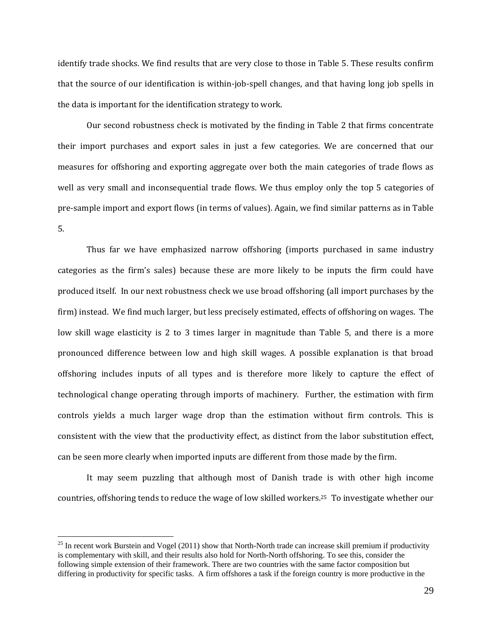identify trade shocks. We find results that are very close to those in Table 5. These results confirm that the source of our identification is within-job-spell changes, and that having long job spells in the data is important for the identification strategy to work.

Our second robustness check is motivated by the finding in Table 2 that firms concentrate their import purchases and export sales in just a few categories. We are concerned that our measures for offshoring and exporting aggregate over both the main categories of trade flows as well as very small and inconsequential trade flows. We thus employ only the top 5 categories of pre-sample import and export flows (in terms of values). Again, we find similar patterns as in Table 5. 

Thus far we have emphasized narrow offshoring (imports purchased in same industry categories as the firm's sales) because these are more likely to be inputs the firm could have produced itself. In our next robustness check we use broad offshoring (all import purchases by the firm) instead. We find much larger, but less precisely estimated, effects of offshoring on wages. The low skill wage elasticity is 2 to 3 times larger in magnitude than Table 5, and there is a more pronounced difference between low and high skill wages. A possible explanation is that broad offshoring includes inputs of all types and is therefore more likely to capture the effect of technological change operating through imports of machinery. Further, the estimation with firm controls yields a much larger wage drop than the estimation without firm controls. This is consistent with the view that the productivity effect, as distinct from the labor substitution effect, can be seen more clearly when imported inputs are different from those made by the firm.

It may seem puzzling that although most of Danish trade is with other high income countries, offshoring tends to reduce the wage of low skilled workers.<sup>25</sup> To investigate whether our

<sup>&</sup>lt;sup>25</sup> In recent work Burstein and Vogel (2011) show that North-North trade can increase skill premium if productivity is complementary with skill, and their results also hold for North-North offshoring. To see this, consider the following simple extension of their framework. There are two countries with the same factor composition but differing in productivity for specific tasks. A firm offshores a task if the foreign country is more productive in the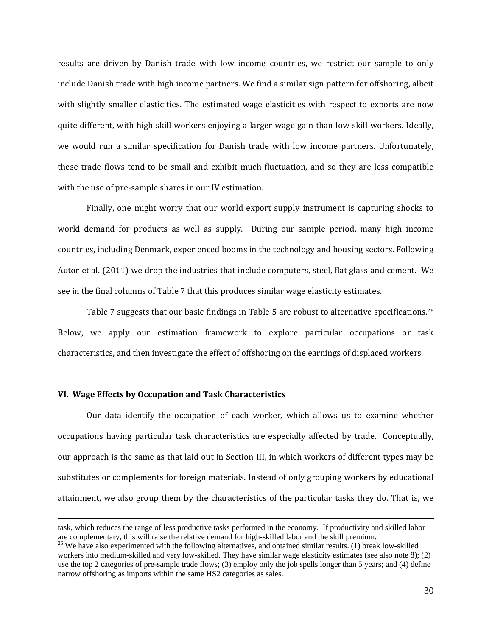results are driven by Danish trade with low income countries, we restrict our sample to only include Danish trade with high income partners. We find a similar sign pattern for offshoring, albeit with slightly smaller elasticities. The estimated wage elasticities with respect to exports are now quite different, with high skill workers enjoying a larger wage gain than low skill workers. Ideally, we would run a similar specification for Danish trade with low income partners. Unfortunately, these trade flows tend to be small and exhibit much fluctuation, and so they are less compatible with the use of pre-sample shares in our IV estimation.

Finally, one might worry that our world export supply instrument is capturing shocks to world demand for products as well as supply. During our sample period, many high income countries, including Denmark, experienced booms in the technology and housing sectors. Following Autor et al. (2011) we drop the industries that include computers, steel, flat glass and cement. We see in the final columns of Table 7 that this produces similar wage elasticity estimates.

Table 7 suggests that our basic findings in Table 5 are robust to alternative specifications.<sup>26</sup> Below, we apply our estimation framework to explore particular occupations or task characteristics, and then investigate the effect of offshoring on the earnings of displaced workers.

#### **VI. Wage Effects by Occupation and Task Characteristics**

Our data identify the occupation of each worker, which allows us to examine whether occupations having particular task characteristics are especially affected by trade. Conceptually, our approach is the same as that laid out in Section III, in which workers of different types may be substitutes or complements for foreign materials. Instead of only grouping workers by educational attainment, we also group them by the characteristics of the particular tasks they do. That is, we

task, which reduces the range of less productive tasks performed in the economy. If productivity and skilled labor are complementary, this will raise the relative demand for high-skilled labor and the skill premium.<br><sup>26</sup> We have also experimented with the following alternatives, and obtained similar results. (1) break low-skilled

workers into medium-skilled and very low-skilled. They have similar wage elasticity estimates (see also note 8); (2) use the top 2 categories of pre-sample trade flows; (3) employ only the job spells longer than 5 years; and (4) define narrow offshoring as imports within the same HS2 categories as sales.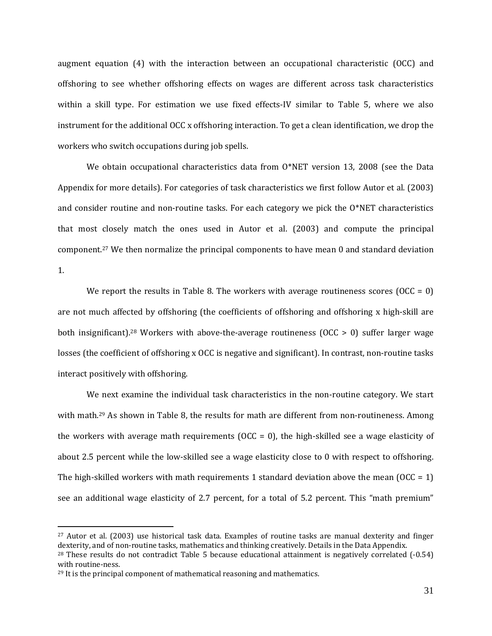augment equation  $(4)$  with the interaction between an occupational characteristic  $(OCC)$  and offshoring to see whether offshoring effects on wages are different across task characteristics within a skill type. For estimation we use fixed effects-IV similar to Table 5, where we also instrument for the additional OCC x offshoring interaction. To get a clean identification, we drop the workers who switch occupations during job spells.

We obtain occupational characteristics data from  $O^*NET$  version 13, 2008 (see the Data Appendix for more details). For categories of task characteristics we first follow Autor et al. (2003) and consider routine and non-routine tasks. For each category we pick the  $O*NET$  characteristics that most closely match the ones used in Autor et al.  $(2003)$  and compute the principal component.<sup>27</sup> We then normalize the principal components to have mean 0 and standard deviation 1. 

We report the results in Table 8. The workers with average routineness scores  $(OCC = 0)$ are not much affected by offshoring (the coefficients of offshoring and offshoring x high-skill are both insignificant).<sup>28</sup> Workers with above-the-average routineness  $(OCC > 0)$  suffer larger wage losses (the coefficient of offshoring x OCC is negative and significant). In contrast, non-routine tasks interact positively with offshoring.

We next examine the individual task characteristics in the non-routine category. We start with math.<sup>29</sup> As shown in Table 8, the results for math are different from non-routineness. Among the workers with average math requirements  $(OCC = 0)$ , the high-skilled see a wage elasticity of about 2.5 percent while the low-skilled see a wage elasticity close to 0 with respect to offshoring. The high-skilled workers with math requirements 1 standard deviation above the mean (OCC = 1) see an additional wage elasticity of 2.7 percent, for a total of 5.2 percent. This "math premium"

 $27$  Autor et al. (2003) use historical task data. Examples of routine tasks are manual dexterity and finger dexterity, and of non-routine tasks, mathematics and thinking creatively. Details in the Data Appendix.

 $28$  These results do not contradict Table 5 because educational attainment is negatively correlated  $(-0.54)$ with routine-ness.

<sup>&</sup>lt;sup>29</sup> It is the principal component of mathematical reasoning and mathematics.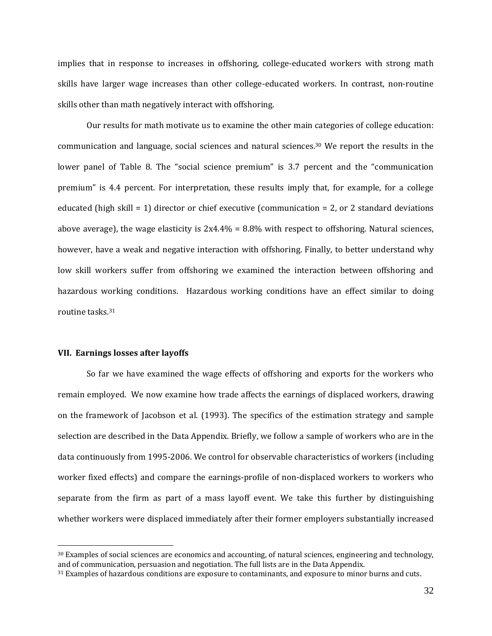implies that in response to increases in offshoring, college-educated workers with strong math skills have larger wage increases than other college-educated workers. In contrast, non-routine skills other than math negatively interact with offshoring.

Our results for math motivate us to examine the other main categories of college education: communication and language, social sciences and natural sciences.<sup>30</sup> We report the results in the lower panel of Table 8. The "social science premium" is 3.7 percent and the "communication premium" is 4.4 percent. For interpretation, these results imply that, for example, for a college educated (high skill = 1) director or chief executive (communication = 2, or 2 standard deviations above average), the wage elasticity is  $2x4.4\% = 8.8\%$  with respect to offshoring. Natural sciences, however, have a weak and negative interaction with offshoring. Finally, to better understand why low skill workers suffer from offshoring we examined the interaction between offshoring and hazardous working conditions. Hazardous working conditions have an effect similar to doing routine tasks.<sup>31</sup>

### **VII. Earnings losses after layoffs**

 $\overline{a}$ 

So far we have examined the wage effects of offshoring and exports for the workers who remain employed. We now examine how trade affects the earnings of displaced workers, drawing on the framework of Jacobson et al. (1993). The specifics of the estimation strategy and sample selection are described in the Data Appendix. Briefly, we follow a sample of workers who are in the data continuously from 1995-2006. We control for observable characteristics of workers (including worker fixed effects) and compare the earnings-profile of non-displaced workers to workers who separate from the firm as part of a mass layoff event. We take this further by distinguishing whether workers were displaced immediately after their former employers substantially increased

<sup>&</sup>lt;sup>30</sup> Examples of social sciences are economics and accounting, of natural sciences, engineering and technology, and of communication, persuasion and negotiation. The full lists are in the Data Appendix.

<sup>&</sup>lt;sup>31</sup> Examples of hazardous conditions are exposure to contaminants, and exposure to minor burns and cuts.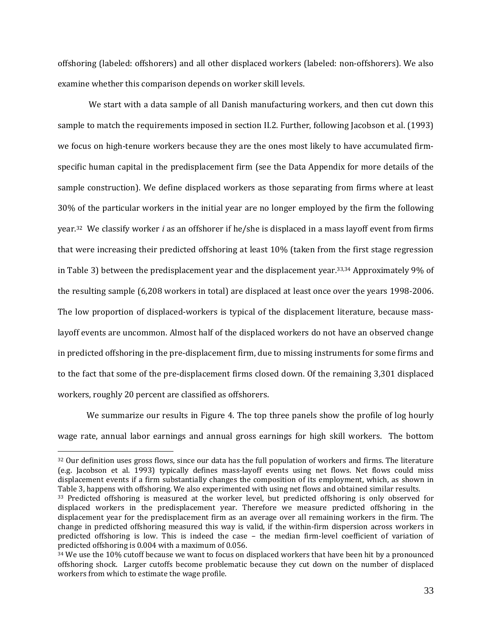offshoring (labeled: offshorers) and all other displaced workers (labeled: non-offshorers). We also examine whether this comparison depends on worker skill levels.

We start with a data sample of all Danish manufacturing workers, and then cut down this sample to match the requirements imposed in section II.2. Further, following Jacobson et al. (1993) we focus on high-tenure workers because they are the ones most likely to have accumulated firmspecific human capital in the predisplacement firm (see the Data Appendix for more details of the sample construction). We define displaced workers as those separating from firms where at least 30% of the particular workers in the initial year are no longer employed by the firm the following year.<sup>32</sup> We classify worker *i* as an offshorer if he/she is displaced in a mass layoff event from firms that were increasing their predicted offshoring at least 10% (taken from the first stage regression in Table 3) between the predisplacement year and the displacement year.<sup>33,34</sup> Approximately 9% of the resulting sample  $(6,208 \text{ workers in total})$  are displaced at least once over the years 1998-2006. The low proportion of displaced-workers is typical of the displacement literature, because masslayoff events are uncommon. Almost half of the displaced workers do not have an observed change in predicted offshoring in the pre-displacement firm, due to missing instruments for some firms and to the fact that some of the pre-displacement firms closed down. Of the remaining 3,301 displaced workers, roughly 20 percent are classified as offshorers.

We summarize our results in Figure 4. The top three panels show the profile of log hourly wage rate, annual labor earnings and annual gross earnings for high skill workers. The bottom

 $32$  Our definition uses gross flows, since our data has the full population of workers and firms. The literature (e.g. Jacobson et al. 1993) typically defines mass-layoff events using net flows. Net flows could miss displacement events if a firm substantially changes the composition of its employment, which, as shown in Table 3, happens with offshoring. We also experimented with using net flows and obtained similar results.

<sup>33</sup> Predicted offshoring is measured at the worker level, but predicted offshoring is only observed for displaced workers in the predisplacement year. Therefore we measure predicted offshoring in the displacement year for the predisplacement firm as an average over all remaining workers in the firm. The change in predicted offshoring measured this way is valid, if the within-firm dispersion across workers in predicted offshoring is low. This is indeed the case – the median firm-level coefficient of variation of predicted offshoring is 0.004 with a maximum of 0.056.

 $34$  We use the 10% cutoff because we want to focus on displaced workers that have been hit by a pronounced offshoring shock. Larger cutoffs become problematic because they cut down on the number of displaced workers from which to estimate the wage profile.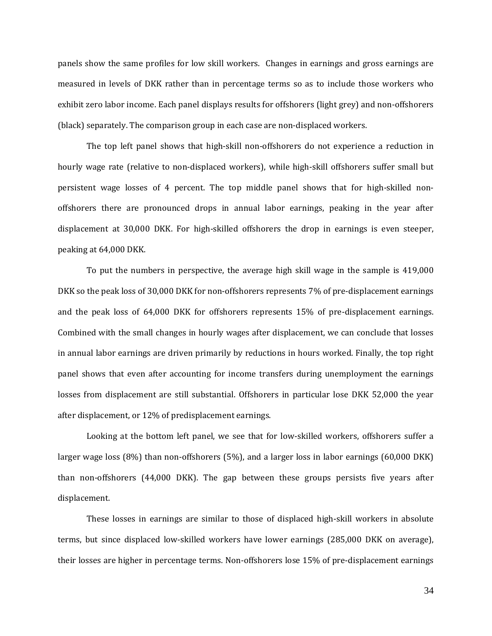panels show the same profiles for low skill workers. Changes in earnings and gross earnings are measured in levels of DKK rather than in percentage terms so as to include those workers who exhibit zero labor income. Each panel displays results for offshorers (light grey) and non-offshorers (black) separately. The comparison group in each case are non-displaced workers.

The top left panel shows that high-skill non-offshorers do not experience a reduction in hourly wage rate (relative to non-displaced workers), while high-skill offshorers suffer small but persistent wage losses of 4 percent. The top middle panel shows that for high-skilled nonoffshorers there are pronounced drops in annual labor earnings, peaking in the year after displacement at 30,000 DKK. For high-skilled offshorers the drop in earnings is even steeper, peaking at 64,000 DKK.

To put the numbers in perspective, the average high skill wage in the sample is 419,000 DKK so the peak loss of 30,000 DKK for non-offshorers represents 7% of pre-displacement earnings and the peak loss of 64,000 DKK for offshorers represents 15% of pre-displacement earnings. Combined with the small changes in hourly wages after displacement, we can conclude that losses in annual labor earnings are driven primarily by reductions in hours worked. Finally, the top right panel shows that even after accounting for income transfers during unemployment the earnings losses from displacement are still substantial. Offshorers in particular lose DKK 52,000 the year after displacement, or 12% of predisplacement earnings.

Looking at the bottom left panel, we see that for low-skilled workers, offshorers suffer a larger wage loss  $(8\%)$  than non-offshorers  $(5\%)$ , and a larger loss in labor earnings  $(60,000 \text{ DKK})$ than non-offshorers  $(44,000\,$  DKK). The gap between these groups persists five years after displacement. 

These losses in earnings are similar to those of displaced high-skill workers in absolute terms, but since displaced low-skilled workers have lower earnings (285,000 DKK on average), their losses are higher in percentage terms. Non-offshorers lose 15% of pre-displacement earnings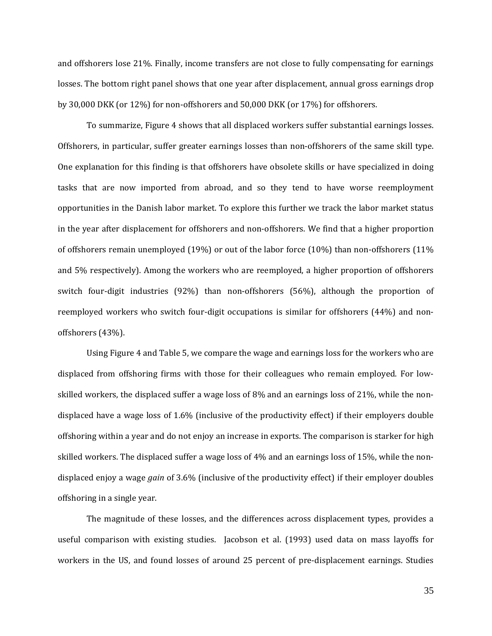and offshorers lose 21%. Finally, income transfers are not close to fully compensating for earnings losses. The bottom right panel shows that one year after displacement, annual gross earnings drop by  $30,000$  DKK (or  $12\%$ ) for non-offshorers and  $50,000$  DKK (or  $17\%$ ) for offshorers.

To summarize, Figure 4 shows that all displaced workers suffer substantial earnings losses. Offshorers, in particular, suffer greater earnings losses than non-offshorers of the same skill type. One explanation for this finding is that offshorers have obsolete skills or have specialized in doing tasks that are now imported from abroad, and so they tend to have worse reemployment opportunities in the Danish labor market. To explore this further we track the labor market status in the year after displacement for offshorers and non-offshorers. We find that a higher proportion of offshorers remain unemployed  $(19\%)$  or out of the labor force  $(10\%)$  than non-offshorers  $(11\%)$ and  $5\%$  respectively). Among the workers who are reemployed, a higher proportion of offshorers switch four-digit industries  $(92%)$  than non-offshorers  $(56%)$ , although the proportion of reemployed workers who switch four-digit occupations is similar for offshorers  $(44%)$  and nonoffshorers (43%).

Using Figure 4 and Table 5, we compare the wage and earnings loss for the workers who are displaced from offshoring firms with those for their colleagues who remain employed. For lowskilled workers, the displaced suffer a wage loss of 8% and an earnings loss of 21%, while the nondisplaced have a wage loss of  $1.6\%$  (inclusive of the productivity effect) if their employers double offshoring within a year and do not enjoy an increase in exports. The comparison is starker for high skilled workers. The displaced suffer a wage loss of 4% and an earnings loss of 15%, while the nondisplaced enjoy a wage *gain* of 3.6% (inclusive of the productivity effect) if their employer doubles offshoring in a single year.

The magnitude of these losses, and the differences across displacement types, provides a useful comparison with existing studies. Jacobson et al. (1993) used data on mass layoffs for workers in the US, and found losses of around 25 percent of pre-displacement earnings. Studies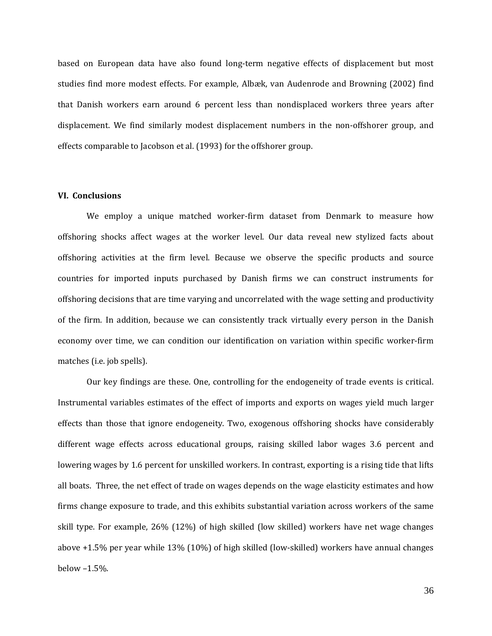based on European data have also found long-term negative effects of displacement but most studies find more modest effects. For example, Albæk, van Audenrode and Browning (2002) find that Danish workers earn around 6 percent less than nondisplaced workers three years after displacement. We find similarly modest displacement numbers in the non-offshorer group, and effects comparable to Jacobson et al. (1993) for the offshorer group.

### **VI. Conclusions**

We employ a unique matched worker-firm dataset from Denmark to measure how offshoring shocks affect wages at the worker level. Our data reveal new stylized facts about offshoring activities at the firm level. Because we observe the specific products and source countries for imported inputs purchased by Danish firms we can construct instruments for offshoring decisions that are time varying and uncorrelated with the wage setting and productivity of the firm. In addition, because we can consistently track virtually every person in the Danish economy over time, we can condition our identification on variation within specific worker-firm matches (i.e. job spells).

Our key findings are these. One, controlling for the endogeneity of trade events is critical. Instrumental variables estimates of the effect of imports and exports on wages yield much larger effects than those that ignore endogeneity. Two, exogenous offshoring shocks have considerably different wage effects across educational groups, raising skilled labor wages 3.6 percent and lowering wages by 1.6 percent for unskilled workers. In contrast, exporting is a rising tide that lifts all boats. Three, the net effect of trade on wages depends on the wage elasticity estimates and how firms change exposure to trade, and this exhibits substantial variation across workers of the same skill type. For example,  $26\%$  (12%) of high skilled (low skilled) workers have net wage changes above +1.5% per year while 13% (10%) of high skilled (low-skilled) workers have annual changes below  $-1.5%$ .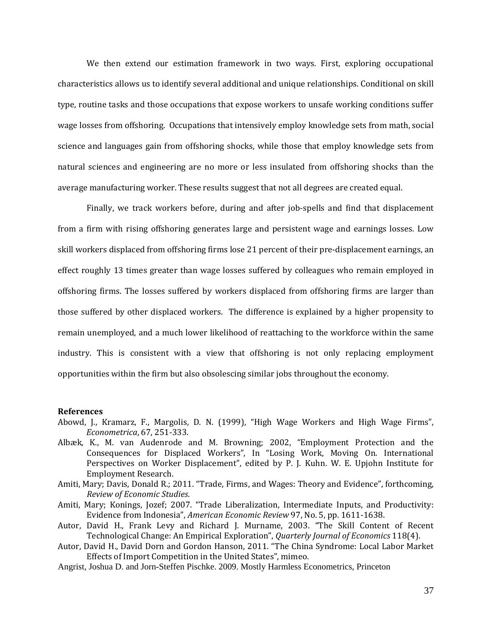We then extend our estimation framework in two ways. First, exploring occupational characteristics allows us to identify several additional and unique relationships. Conditional on skill type, routine tasks and those occupations that expose workers to unsafe working conditions suffer wage losses from offshoring. Occupations that intensively employ knowledge sets from math, social science and languages gain from offshoring shocks, while those that employ knowledge sets from natural sciences and engineering are no more or less insulated from offshoring shocks than the average manufacturing worker. These results suggest that not all degrees are created equal.

Finally, we track workers before, during and after job-spells and find that displacement from a firm with rising offshoring generates large and persistent wage and earnings losses. Low skill workers displaced from offshoring firms lose 21 percent of their pre-displacement earnings, an effect roughly 13 times greater than wage losses suffered by colleagues who remain employed in offshoring firms. The losses suffered by workers displaced from offshoring firms are larger than those suffered by other displaced workers. The difference is explained by a higher propensity to remain unemployed, and a much lower likelihood of reattaching to the workforce within the same industry. This is consistent with a view that offshoring is not only replacing employment opportunities within the firm but also obsolescing similar jobs throughout the economy.

#### **References**

- Abowd, J., Kramarz, F., Margolis, D. N. (1999), "High Wage Workers and High Wage Firms", *Econometrica*, 67, 251‐333.
- Albæk, K., M. van Audenrode and M. Browning; 2002, "Employment Protection and the Consequences for Displaced Workers", In "Losing Work, Moving On. International Perspectives on Worker Displacement", edited by P. J. Kuhn. W. E. Upjohn Institute for Employment Research.
- Amiti, Mary; Davis, Donald R.; 2011. "Trade, Firms, and Wages: Theory and Evidence", forthcoming, *Review of Economic Studies*.
- Amiti, Mary; Konings, Jozef; 2007. "Trade Liberalization, Intermediate Inputs, and Productivity: Evidence from Indonesia", *American Economic Review* 97, No. 5, pp. 1611-1638.
- Autor, David H., Frank Levy and Richard J. Murname, 2003. "The Skill Content of Recent Technological Change: An Empirical Exploration", *Quarterly Journal of Economics* 118(4).
- Autor, David H., David Dorn and Gordon Hanson, 2011. "The China Syndrome: Local Labor Market Effects of Import Competition in the United States", mimeo.
- Angrist, Joshua D. and Jorn-Steffen Pischke. 2009. Mostly Harmless Econometrics, Princeton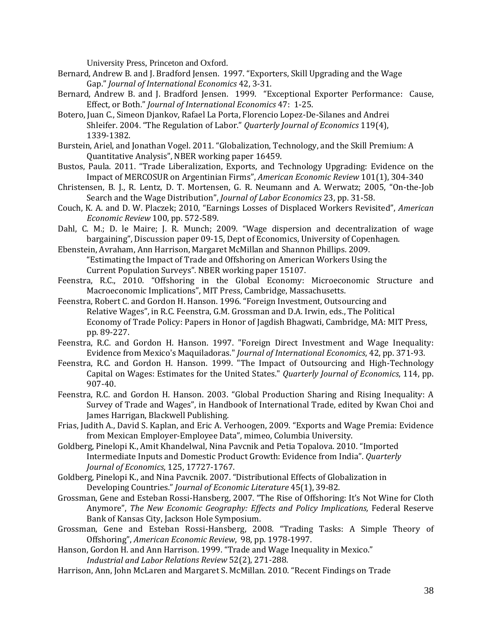University Press, Princeton and Oxford.

- Bernard, Andrew B. and J. Bradford Jensen. 1997. "Exporters, Skill Upgrading and the Wage Gap." *Journal of International Economics* 42, 3‐31.
- Bernard, Andrew B. and J. Bradford Jensen. 1999. "Exceptional Exporter Performance: Cause, Effect, or Both." *Journal of International Economics* 47: 1‐25.
- Botero, Juan C., Simeon Djankov, Rafael La Porta, Florencio Lopez-De-Silanes and Andrei Shleifer. 2004. "The Regulation of Labor." *Quarterly Journal of Economics* 119(4), 1339‐1382.
- Burstein, Ariel, and Jonathan Vogel. 2011. "Globalization, Technology, and the Skill Premium: A Ouantitative Analysis", NBER working paper 16459.
- Bustos, Paula. 2011. "Trade Liberalization, Exports, and Technology Upgrading: Evidence on the Impact of MERCOSUR on Argentinian Firms", *American Economic Review* 101(1), 304-340
- Christensen, B. J., R. Lentz, D. T. Mortensen, G. R. Neumann and A. Werwatz; 2005, "On-the-Job Search and the Wage Distribution", *Journal of Labor Economics* 23, pp. 31-58.
- Couch, K. A. and D. W. Placzek; 2010, "Earnings Losses of Displaced Workers Revisited", American *Economic Review* 100, pp. 572‐589.
- Dahl, C. M.; D. le Maire; J. R. Munch; 2009. "Wage dispersion and decentralization of wage bargaining", Discussion paper 09-15, Dept of Economics, University of Copenhagen.
- Ebenstein, Avraham, Ann Harrison, Margaret McMillan and Shannon Phillips. 2009. "Estimating the Impact of Trade and Offshoring on American Workers Using the Current Population Surveys". NBER working paper 15107.
- Feenstra, R.C., 2010. "Offshoring in the Global Economy: Microeconomic Structure and Macroeconomic Implications", MIT Press, Cambridge, Massachusetts.
- Feenstra, Robert C. and Gordon H. Hanson. 1996. "Foreign Investment, Outsourcing and Relative Wages", in R.C. Feenstra, G.M. Grossman and D.A. Irwin, eds., The Political Economy of Trade Policy: Papers in Honor of Jagdish Bhagwati, Cambridge, MA: MIT Press, pp. 89‐227.
- Feenstra, R.C. and Gordon H. Hanson. 1997. "Foreign Direct Investment and Wage Inequality: Evidence from Mexico's Maquiladoras." *Journal of International Economics*, 42, pp. 371-93.
- Feenstra, R.C. and Gordon H. Hanson. 1999. "The Impact of Outsourcing and High-Technology Capital on Wages: Estimates for the United States." *Quarterly Journal of Economics*, 114, pp. 907‐40.
- Feenstra, R.C. and Gordon H. Hanson. 2003. "Global Production Sharing and Rising Inequality: A Survey of Trade and Wages", in Handbook of International Trade, edited by Kwan Choi and James Harrigan, Blackwell Publishing.
- Frias, Judith A., David S. Kaplan, and Eric A. Verhoogen, 2009. "Exports and Wage Premia: Evidence from Mexican Employer-Employee Data", mimeo, Columbia University.
- Goldberg, Pinelopi K., Amit Khandelwal, Nina Pavcnik and Petia Topalova. 2010. "Imported Intermediate Inputs and Domestic Product Growth: Evidence from India". *Quarterly Journal of Economics*, 125, 17727‐1767.
- Goldberg, Pinelopi K., and Nina Pavcnik. 2007. "Distributional Effects of Globalization in Developing Countries." *Journal of Economic Literature* 45(1), 39-82.
- Grossman, Gene and Esteban Rossi-Hansberg, 2007. "The Rise of Offshoring: It's Not Wine for Cloth Anymore", *The New Economic Geography: Effects and Policy Implications,* Federal Reserve Bank of Kansas City, Jackson Hole Symposium.
- Grossman, Gene and Esteban Rossi-Hansberg, 2008. "Trading Tasks: A Simple Theory of Offshoring", *American Economic Review*, 98, pp. 1978‐1997.
- Hanson, Gordon H. and Ann Harrison. 1999. "Trade and Wage Inequality in Mexico." *Industrial and Labor Relations Review* 52(2), 271‐288.
- Harrison, Ann, John McLaren and Margaret S. McMillan. 2010. "Recent Findings on Trade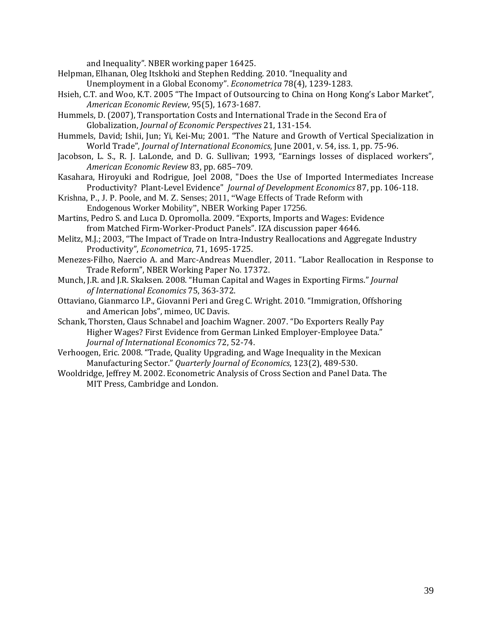and Inequality". NBER working paper 16425.

Helpman, Elhanan, Oleg Itskhoki and Stephen Redding. 2010. "Inequality and

Unemployment in a Global Economy". *Econometrica* 78(4), 1239-1283.

- Hsieh, C.T. and Woo, K.T. 2005 "The Impact of Outsourcing to China on Hong Kong's Labor Market", *American Economic Review*, 95(5), 1673‐1687.
- Hummels, D. (2007), Transportation Costs and International Trade in the Second Era of Globalization, *Journal of Economic Perspectives* 21, 131‐154.
- Hummels, David; Ishii, Jun; Yi, Kei-Mu; 2001. "The Nature and Growth of Vertical Specialization in World Trade", *Journal of International Economics*, June 2001, v. 54, iss. 1, pp. 75-96.
- Jacobson, L. S., R. J. LaLonde, and D. G. Sullivan; 1993, "Earnings losses of displaced workers", *American Economic Review* 83, pp. 685–709.
- Kasahara, Hiroyuki and Rodrigue, Joel 2008, "Does the Use of Imported Intermediates Increase Productivity? Plant‐Level Evidence" *Journal of Development Economics* 87, pp. 106‐118.
- Krishna, P., J. P. Poole, and M. Z. Senses; 2011, "Wage Effects of Trade Reform with Endogenous Worker Mobility", NBER Working Paper 17256.
- Martins, Pedro S. and Luca D. Opromolla. 2009. "Exports, Imports and Wages: Evidence from Matched Firm-Worker-Product Panels". IZA discussion paper 4646.
- Melitz, M.J.; 2003, "The Impact of Trade on Intra-Industry Reallocations and Aggregate Industry Productivity", *Econometrica*, 71, 1695-1725.
- Menezes-Filho, Naercio A. and Marc-Andreas Muendler, 2011. "Labor Reallocation in Response to Trade Reform", NBER Working Paper No. 17372.
- Munch, J.R. and J.R. Skaksen. 2008. "Human Capital and Wages in Exporting Firms." *Journal of International Economics* 75, 363‐372.
- Ottaviano, Gianmarco I.P., Giovanni Peri and Greg C. Wright. 2010. "Immigration, Offshoring and American Jobs", mimeo, UC Davis.
- Schank, Thorsten, Claus Schnabel and Joachim Wagner. 2007. "Do Exporters Really Pay Higher Wages? First Evidence from German Linked Employer-Employee Data." *Journal of International Economics* 72, 52‐74.
- Verhoogen, Eric. 2008. "Trade, Quality Upgrading, and Wage Inequality in the Mexican Manufacturing Sector." Quarterly *Journal of Economics*, 123(2), 489-530.
- Wooldridge, Jeffrey M. 2002. Econometric Analysis of Cross Section and Panel Data. The MIT Press, Cambridge and London.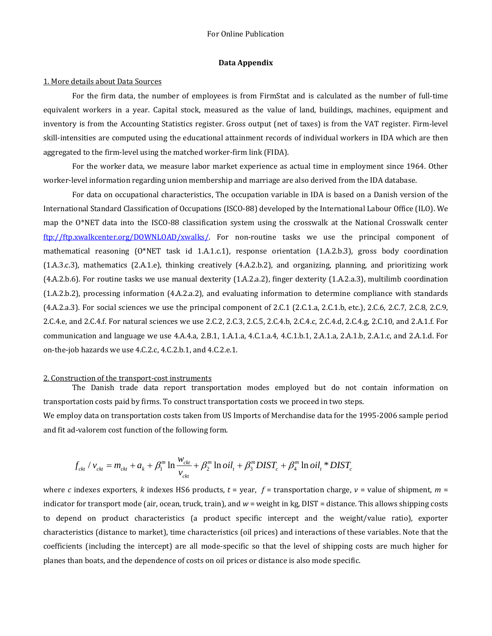#### **Data Appendix**

#### 1. More details about Data Sources

For the firm data, the number of employees is from FirmStat and is calculated as the number of full-time equivalent workers in a year. Capital stock, measured as the value of land, buildings, machines, equipment and inventory is from the Accounting Statistics register. Gross output (net of taxes) is from the VAT register. Firm-level skill-intensities are computed using the educational attainment records of individual workers in IDA which are then aggregated to the firm-level using the matched worker-firm link (FIDA).

For the worker data, we measure labor market experience as actual time in employment since 1964. Other worker-level information regarding union membership and marriage are also derived from the IDA database.

For data on occupational characteristics, The occupation variable in IDA is based on a Danish version of the International Standard Classification of Occupations (ISCO-88) developed by the International Labour Office (ILO). We map the  $0^*$ NET data into the ISCO-88 classification system using the crosswalk at the National Crosswalk center ftp://ftp.xwalkcenter.org/DOWNLOAD/xwalks/. For non-routine tasks we use the principal component of mathematical reasoning  $(0^*)$ NET task id 1.A.1.c.1), response orientation  $(1.A.2.b.3)$ , gross body coordination  $(1.A.3.c.3)$ , mathematics  $(2.A.1.e)$ , thinking creatively  $(4.A.2.b.2)$ , and organizing, planning, and prioritizing work  $(4.A.2.b.6)$ . For routine tasks we use manual dexterity  $(1.A.2.a.2)$ , finger dexterity  $(1.A.2.a.3)$ , multilimb coordination  $(1.A.2.b.2)$ , processing information  $(4.A.2.a.2)$ , and evaluating information to determine compliance with standards  $(4.A.2.a.3)$ . For social sciences we use the principal component of 2.C.1  $(2.C.1.a, 2.C.1.b, etc.), 2.C.6, 2.C.7, 2.C.8, 2.C.9,$ 2.C.4.e, and 2.C.4.f. For natural sciences we use 2.C.2, 2.C.3, 2.C.5, 2.C.4.b, 2.C.4.c, 2.C.4.d, 2.C.4.g, 2.C.10, and 2.A.1.f. For communication and language we use  $4.A.4.a$ ,  $2.B.1$ ,  $1.A.1.a$ ,  $4.C.1.a.4$ ,  $4.C.1.b.1$ ,  $2.A.1.a$ ,  $2.A.1.b$ ,  $2.A.1.c$ , and  $2.A.1.d$ . For on-the-job hazards we use 4.C.2.c, 4.C.2.b.1, and 4.C.2.e.1.

#### 2. Construction of the transport-cost instruments

The Danish trade data report transportation modes employed but do not contain information on transportation costs paid by firms. To construct transportation costs we proceed in two steps.

We employ data on transportation costs taken from US Imports of Merchandise data for the 1995-2006 sample period and fit ad-valorem cost function of the following form.

$$
f_{\text{ckt}} / v_{\text{ckt}} = m_{\text{ckt}} + a_k + \beta_1^m \ln \frac{w_{\text{ckt}}}{v_{\text{ckt}}} + \beta_2^m \ln \left( \frac{dI_t}{dt} + \beta_3^m \frac{DIST_c}{dt} + \beta_4^m \ln \left( \frac{dI_t}{dt} \right)^m \right)
$$

where *c* indexes exporters, *k* indexes HS6 products,  $t =$  year,  $f =$  transportation charge,  $v =$  value of shipment,  $m =$ indicator for transport mode (air, ocean, truck, train), and  $w =$  weight in kg, DIST = distance. This allows shipping costs to depend on product characteristics (a product specific intercept and the weight/value ratio), exporter characteristics (distance to market), time characteristics (oil prices) and interactions of these variables. Note that the coefficients (including the intercept) are all mode-specific so that the level of shipping costs are much higher for planes than boats, and the dependence of costs on oil prices or distance is also mode specific.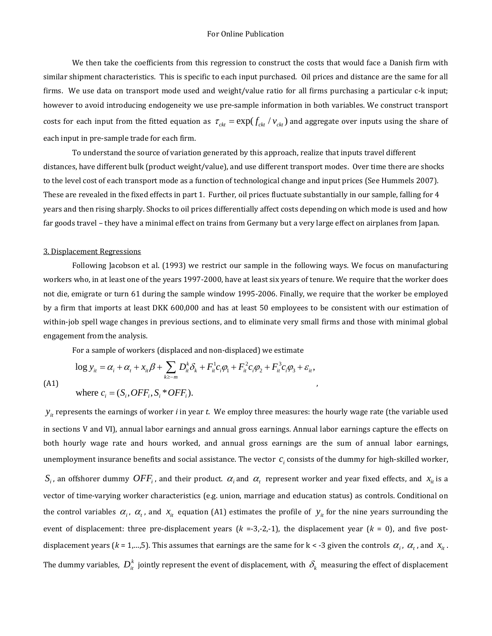We then take the coefficients from this regression to construct the costs that would face a Danish firm with similar shipment characteristics. This is specific to each input purchased. Oil prices and distance are the same for all firms. We use data on transport mode used and weight/value ratio for all firms purchasing a particular c-k input; however to avoid introducing endogeneity we use pre-sample information in both variables. We construct transport costs for each input from the fitted equation as  $\tau_{ck} = \exp(f_{ck}/ v_{ck})$  and aggregate over inputs using the share of each input in pre-sample trade for each firm.

To understand the source of variation generated by this approach, realize that inputs travel different distances, have different bulk (product weight/value), and use different transport modes. Over time there are shocks to the level cost of each transport mode as a function of technological change and input prices (See Hummels 2007). These are revealed in the fixed effects in part 1. Further, oil prices fluctuate substantially in our sample, falling for 4 years and then rising sharply. Shocks to oil prices differentially affect costs depending on which mode is used and how far goods travel – they have a minimal effect on trains from Germany but a very large effect on airplanes from Japan.

#### 3. Displacement Regressions

Following Jacobson et al. (1993) we restrict our sample in the following ways. We focus on manufacturing workers who, in at least one of the years 1997-2000, have at least six years of tenure. We require that the worker does not die, emigrate or turn 61 during the sample window 1995-2006. Finally, we require that the worker be employed by a firm that imports at least DKK 600,000 and has at least 50 employees to be consistent with our estimation of within-job spell wage changes in previous sections, and to eliminate very small firms and those with minimal global engagement from the analysis.

, 

For a sample of workers (displaced and non-displaced) we estimate

 $k \ge -m$ 

 $\geq-$ 

 $\log y_{it} = \alpha_i + \alpha_t + x_{it}\beta + \sum D_{it}^{k}\delta_k + F_{it}^{1}c_i\varphi_1 + F_{it}^{2}c_i\varphi_2 + F_{it}^{3}c_i\varphi_3 + \varepsilon_{it}$ 

 $\mu_{ii} - \alpha_i + \alpha_t + \alpha_{ii} p + \sum_{i} D_{ii} \alpha_k + \sum_{i} \mu_{i} \nu_{i} p_{1} + \sum_{i} \mu_{i} \nu_{i} p_{2} + \sum_{i} \mu_{i} \nu_{i} p_{3} + \epsilon_{ii} p_{4}$ 

 $y_{it} = \alpha_i + \alpha_t + x_{it}\beta + \sum_i D_i^k \delta_k + F_{it}^1 c_i \varphi_1 + F_{it}^2 c_i \varphi_2 + F_{it}^3 c_i \varphi_3 + \varepsilon_i$ 

 $= \alpha_{i} + \alpha_{t} + x_{it} \beta + \sum D_{it}^{k} \delta_{k} + F_{it}^{1} c_{i} \varphi_{1} + F_{it}^{2} c_{i} \varphi_{2} + F_{it}^{3} c_{i} \varphi_{3} +$ 

$$
(A1)
$$

where 
$$
c_i = (S_i, OFF_i, S_i * OFF_i)
$$
.

 $y_{it}$  represents the earnings of worker *i* in year *t*. We employ three measures: the hourly wage rate (the variable used in sections V and VI), annual labor earnings and annual gross earnings. Annual labor earnings capture the effects on both hourly wage rate and hours worked, and annual gross earnings are the sum of annual labor earnings, unemployment insurance benefits and social assistance. The vector  $c_i$  consists of the dummy for high-skilled worker,  $S_i$ , an offshorer dummy  $OFF_i$ , and their product.  $\alpha_i$  and  $\alpha_t$  represent worker and year fixed effects, and  $x_i$  is a vector of time-varying worker characteristics (e.g. union, marriage and education status) as controls. Conditional on the control variables  $\alpha_i$ ,  $\alpha_t$ , and  $x_i$  equation (A1) estimates the profile of  $y_i$  for the nine years surrounding the event of displacement: three pre-displacement years  $(k = -3, -2, -1)$ , the displacement year  $(k = 0)$ , and five postdisplacement years ( $k = 1,...,5$ ). This assumes that earnings are the same for  $k < -3$  given the controls  $\alpha_i$ ,  $\alpha_t$ , and  $x_i$ . The dummy variables,  $D_{it}^k$  jointly represent the event of displacement, with  $\delta_k$  measuring the effect of displacement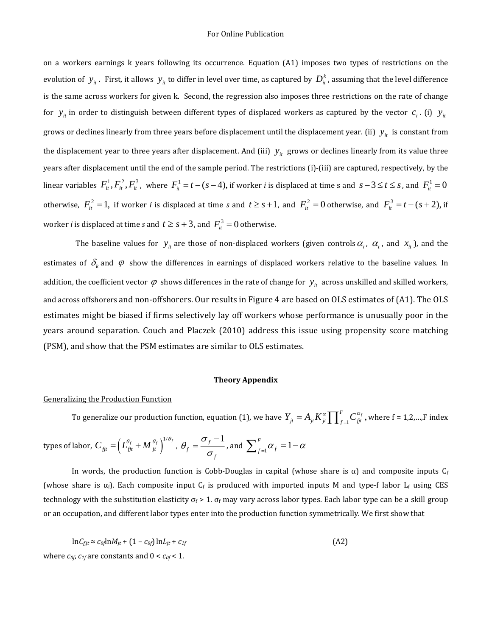on a workers earnings k years following its occurrence. Equation (A1) imposes two types of restrictions on the evolution of  $y_i$ . First, it allows  $y_i$  to differ in level over time, as captured by  $D_i^k$ , assuming that the level difference is the same across workers for given k. Second, the regression also imposes three restrictions on the rate of change for  $y_{it}$  in order to distinguish between different types of displaced workers as captured by the vector  $c_i$ . (i)  $y_{it}$ grows or declines linearly from three years before displacement until the displacement year. (ii)  $y_{it}$  is constant from the displacement year to three years after displacement. And (iii)  $y_{it}$  grows or declines linearly from its value three years after displacement until the end of the sample period. The restrictions (i)-(iii) are captured, respectively, by the linear variables  $F_{it}^1, F_{it}^2, F_{it}^3$ , where  $F_{it}^1 = t - (s - 4)$ , if worker *i* is displaced at time s and  $s - 3 \le t \le s$ , and  $F_{it}^1 = 0$ otherwise,  $F_{ii}^2 = 1$ , if worker *i* is displaced at time *s* and  $t \ge s + 1$ , and  $F_{ii}^2 = 0$  otherwise, and  $F_{ii}^3 = t - (s + 2)$ , if worker *i* is displaced at time *s* and  $t \geq s + 3$ , and  $F_{it}^3 = 0$  otherwise.

The baseline values for  $y_i$  are those of non-displaced workers (given controls  $\alpha_i$ ,  $\alpha_t$ , and  $x_i$ ), and the estimates of  $\delta_k$  and  $\varphi$  show the differences in earnings of displaced workers relative to the baseline values. In addition, the coefficient vector  $\varphi$  shows differences in the rate of change for  $y_{it}$  across unskilled and skilled workers, and across offshorers and non-offshorers. Our results in Figure 4 are based on OLS estimates of (A1). The OLS estimates might be biased if firms selectively lay off workers whose performance is unusually poor in the years around separation. Couch and Placzek (2010) address this issue using propensity score matching (PSM), and show that the PSM estimates are similar to OLS estimates.

#### **Theory Appendix**

#### Generalizing the Production Function

To generalize our production function, equation (1), we have  $Y_{_{jt}} = A_{_{jt}} K_{_{jt}}^{\alpha} \prod_{f=1}^F C_{_{jjt}}^{\alpha_f}$  ,  $Y_{jt} = A_{jt} K_{jt}^{\alpha} \prod_{f=1}^{F} C_{fit}^{\alpha_f}$ , where  $f = 1, 2, \dots, F$  index

types of labor, 
$$
C_{fit} = \left(L_{fit}^{\theta_f} + M_{jt}^{\theta_f}\right)^{1/\theta_f}
$$
,  $\theta_f = \frac{\sigma_f - 1}{\sigma_f}$ , and  $\sum_{f=1}^F \alpha_f = 1 - \alpha$ 

In words, the production function is Cobb-Douglas in capital (whose share is  $\alpha$ ) and composite inputs  $C_f$ (whose share is  $\alpha_f$ ). Each composite input  $C_f$  is produced with imported inputs M and type-f labor  $L_f$  using CES technology with the substitution elasticity  $\sigma_f > 1$ .  $\sigma_f$  may vary across labor types. Each labor type can be a skill group or an occupation, and different labor types enter into the production function symmetrically. We first show that

$$
\ln C_{f,jt} \approx c_{0f} \ln M_{jt} + (1 - c_{0f}) \ln L_{jt} + c_{1f}
$$
\n(A2)

\nwhere  $c_{0f}$ ,  $c_{1f}$  are constants and  $0 < c_{0f} < 1$ .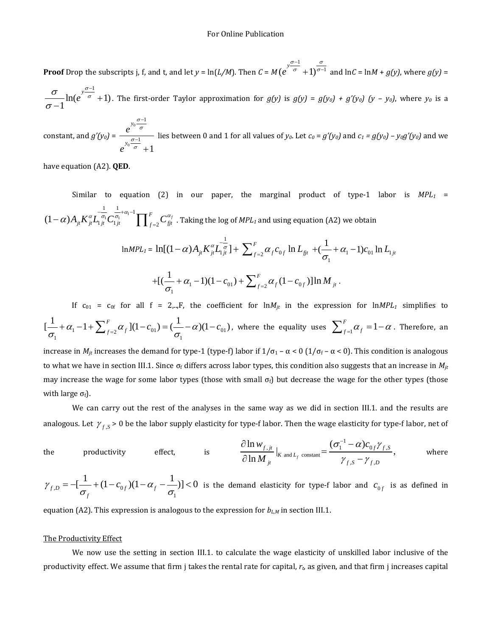**Proof** Drop the subscripts j, f, and t, and let  $y = \ln(L/M)$ . Then  $C = M$  $(e^{\int \frac{y^{\sigma-1}}{\sigma}+1)^{\frac{\sigma}{\sigma-1}}}$  $\sigma$   $\Box$   $\sigma$  $\overline{a}$  $(1)^{\sigma-1}$  and  $\ln C = \ln M + g(y)$ , where  $g(y) =$ 

$$
\frac{\sigma}{\sigma-1}\ln(e^{\frac{y^{\sigma-1}}{\sigma}}+1)
$$
. The first-order Taylor approximation for  $g(y)$  is  $g(y) = g(y_0) + g'(y_0)$  ( $y - y_0$ ), where  $y_0$  is a

constant, and  $g'(y_0)$  =  $\bf{0}$ 0 1 1 1 *y y e e* σ σ σ σ  $\overline{a}$  $\overline{a}$  $\ddot{}$ lies between 0 and 1 for all values of  $y_0$ . Let  $c_0 = g'(y_0)$  and  $c_1 = g(y_0) - y_0g'(y_0)$  and we

have equation (A2). **QED**.

Similar to equation (2) in our paper, the marginal product of type-1 labor is  $MPL_1 =$  $(1-\alpha)A_{ji}K_{ji}^{\alpha}L_{1ji}^{-\frac{1}{\sigma_1}+\alpha_1-1}\prod_{f=2}^FC_{fjt}^{\alpha_f}$  . Taking the log of  $MPL_1$  and using equation (A2) we obtain

$$
\ln MPL_1 = \ln[(1-\alpha)A_{jk}K_{jl}^{\alpha}L_{1jl}^{-\frac{1}{\sigma}}] + \sum_{f=2}^{F} \alpha_f c_{0f} \ln L_{\hat{g}_t} + (\frac{1}{\sigma_1} + \alpha_1 - 1)c_{01} \ln L_{1jl}
$$
  
+
$$
+ [(\frac{1}{\sigma_1} + \alpha_1 - 1)(1 - c_{01}) + \sum_{f=2}^{F} \alpha_f (1 - c_{0f})] \ln M_{jt}.
$$

If  $c_{01} = c_{0f}$  for all  $f = 2,...,F$ , the coefficient for  $ln M_{it}$  in the expression for  $ln MPL_1$  simplifies to  $\sigma_1$   $\alpha_1$   $\alpha_2$   $\alpha_f$   $\alpha_f$   $\alpha_0$   $\alpha_f$   $\alpha_{01}$   $\alpha_{01}$  $\left[\frac{1}{\sigma_1} + \alpha_1 - 1 + \sum_{f=2}^F \alpha_f \right](1 - c_{01}) = \left(\frac{1}{\sigma_1} - \alpha\right)(1 - c_{01})$ , where the equality uses  $\sum_{f=1}^F \alpha_f = 1 - \alpha$ . Therefore, an increase in *M<sub>it</sub>* increases the demand for type-1 (type-f) labor if  $1/\sigma_1 - \alpha < 0$  ( $1/\sigma_f - \alpha < 0$ ). This condition is analogous to what we have in section III.1. Since  $\sigma_f$  differs across labor types, this condition also suggests that an increase in  $M_{it}$ may increase the wage for some labor types (those with small  $\sigma_f$ ) but decrease the wage for the other types (those with large  $\sigma_f$ ).

We can carry out the rest of the analyses in the same way as we did in section III.1. and the results are analogous. Let  $\gamma_{f,S}$  > 0 be the labor supply elasticity for type-f labor. Then the wage elasticity for type-f labor, net of

the productivity effect, is 
$$
\frac{\partial \ln w_{f,jt}}{\partial \ln M_{jt}}|_{K \text{ and } L_f \text{ constant}} = \frac{(\sigma_1^{-1} - \alpha)c_{0f} \gamma_{f,S}}{\gamma_{f,S} - \gamma_{f,D}},
$$
 where

$$
\gamma_{f,D} = -\left[\frac{1}{\sigma_f} + (1 - c_{0f})(1 - \alpha_f - \frac{1}{\sigma_1})\right] < 0
$$
 is the demand elasticity for type-f labor and  $c_{0f}$  is as defined in

equation (A2). This expression is analogous to the expression for  $b_{LM}$  in section III.1.

#### The Productivity Effect

We now use the setting in section III.1. to calculate the wage elasticity of unskilled labor inclusive of the productivity effect. We assume that firm  $\dot{\theta}$  takes the rental rate for capital,  $r_b$  as given, and that firm  $\dot{\theta}$  increases capital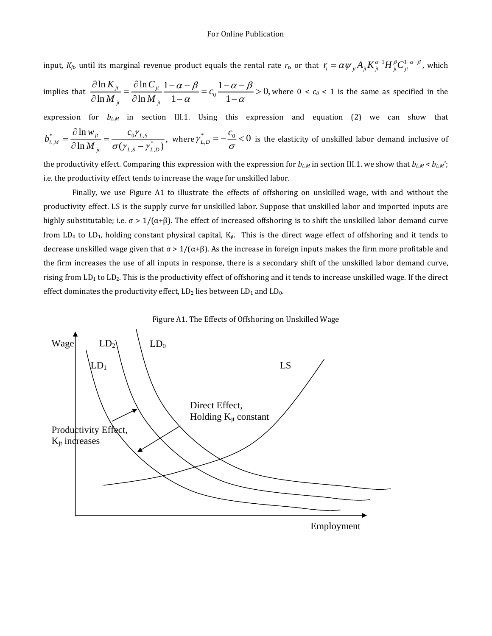input,  $K_{jt}$ , until its marginal revenue product equals the rental rate  $r_t$  or that  $r_t = \alpha \psi_{jt} A_{jt} K_{jt}^{\alpha-1} H_{jt}^\beta C_{jt}^{1-\alpha-\beta}$ , which

implies that  $\frac{\partial \ln K_{ji}}{\partial \ln M_{ji}} = \frac{\partial \ln C_{ji}}{\partial \ln M_{ji}} \frac{1-\alpha-\beta}{1-\alpha} = c_0 \frac{1-\alpha-\beta}{1-\alpha} > 0,$  $j_t$  *U* III *IVI*  $j_t$  $K_{ii}$   $\partial \ln C$ *c*  $M_{ii}$   $\partial \ln M$  $\alpha - \beta$   $1 - \alpha - \beta$  $\frac{\partial \ln K_{ji}}{\partial \ln M_{ji}} = \frac{\partial \ln C_{ji}}{\partial \ln M_{ji}} \frac{1-\alpha-\beta}{1-\alpha} = c_0 \frac{1-\alpha-\beta}{1-\alpha} >$  $\frac{\partial \ln M}{\partial \ln M} = \frac{\mu}{\partial \ln M} + \frac{c^2}{1-\alpha} = c_0 + \frac{c^2}{1-\alpha} > 0$ , where  $0 < c_0 < 1$  is the same as specified in the expression for  $b_{L,M}$  in section III.1. Using this expression and equation (2) we can show that \*  $\sim$   $^{0.111W}$  jt  $^{0.011W}$  $M = 2 \ln M = -(\mu - \mu^*)$  $\frac{\ln w_{jt}}{\ln M_{jt}} = \frac{c_0 \gamma_{L,S}}{\sigma(\gamma_{L,S} - \gamma_{L,D}^*)},$ *L M*  $\mu$   $\cup$   $\cup$   $L,S$   $\cup$   $\cup$   $L,D$  $W_{it}$  *c b M* V  $=\frac{\partial \ln w_{ji}}{\partial \ln M_{ji}} = \frac{c_0 \gamma_{L,S}}{\sigma(\gamma_{L,S} - \gamma_{L,D}^*)}$ , where  $\gamma_{L,D}^* = -\frac{c_0}{\sigma} < 0$  is the elasticity of unskilled labor demand inclusive of the productivity effect. Comparing this expression with the expression for  $b_{L,M}$  in section III.1. we show that  $b_{L,M} < b_{L,M}$ ;

i.e. the productivity effect tends to increase the wage for unskilled labor.

Finally, we use Figure A1 to illustrate the effects of offshoring on unskilled wage, with and without the productivity effect. LS is the supply curve for unskilled labor. Suppose that unskilled labor and imported inputs are highly substitutable; i.e.  $\sigma > 1/(\alpha+\beta)$ . The effect of increased offshoring is to shift the unskilled labor demand curve from LD<sub>0</sub> to LD<sub>1</sub>, holding constant physical capital,  $K_{jt}$ . This is the direct wage effect of offshoring and it tends to decrease unskilled wage given that  $\sigma > 1/(\alpha+\beta)$ . As the increase in foreign inputs makes the firm more profitable and the firm increases the use of all inputs in response, there is a secondary shift of the unskilled labor demand curve, rising from  $LD_1$  to  $LD_2$ . This is the productivity effect of offshoring and it tends to increase unskilled wage. If the direct effect dominates the productivity effect,  $LD_2$  lies between  $LD_1$  and  $LD_0$ .



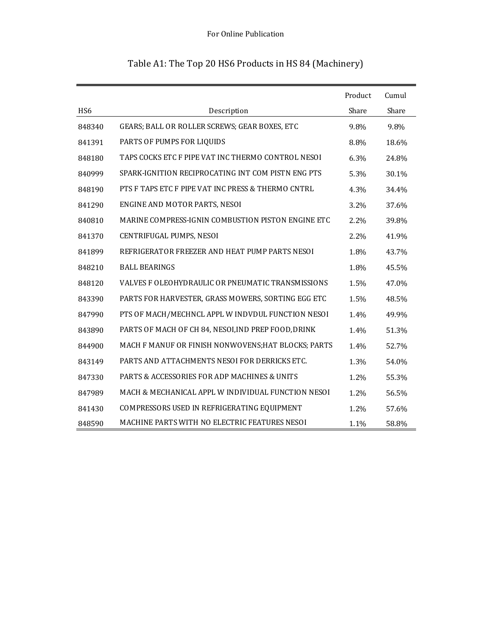|                 |                                                     | Product | Cumul |
|-----------------|-----------------------------------------------------|---------|-------|
| HS <sub>6</sub> | Description                                         | Share   | Share |
| 848340          | GEARS; BALL OR ROLLER SCREWS; GEAR BOXES, ETC       | 9.8%    | 9.8%  |
| 841391          | PARTS OF PUMPS FOR LIQUIDS                          | 8.8%    | 18.6% |
| 848180          | TAPS COCKS ETC F PIPE VAT INC THERMO CONTROL NESOI  | 6.3%    | 24.8% |
| 840999          | SPARK-IGNITION RECIPROCATING INT COM PISTN ENG PTS  | 5.3%    | 30.1% |
| 848190          | PTS F TAPS ETC F PIPE VAT INC PRESS & THERMO CNTRL  | 4.3%    | 34.4% |
| 841290          | ENGINE AND MOTOR PARTS, NESOI                       | 3.2%    | 37.6% |
| 840810          | MARINE COMPRESS-IGNIN COMBUSTION PISTON ENGINE ETC  | $2.2\%$ | 39.8% |
| 841370          | CENTRIFUGAL PUMPS, NESOI                            | 2.2%    | 41.9% |
| 841899          | REFRIGERATOR FREEZER AND HEAT PUMP PARTS NESOL      | 1.8%    | 43.7% |
| 848210          | <b>BALL BEARINGS</b>                                | 1.8%    | 45.5% |
| 848120          | VALVES F OLEOHYDRAULIC OR PNEUMATIC TRANSMISSIONS   | 1.5%    | 47.0% |
| 843390          | PARTS FOR HARVESTER, GRASS MOWERS, SORTING EGG ETC  | 1.5%    | 48.5% |
| 847990          | PTS OF MACH/MECHNCL APPL W INDVDUL FUNCTION NESOI   | 1.4%    | 49.9% |
| 843890          | PARTS OF MACH OF CH 84, NESOI, IND PREP FOOD, DRINK | 1.4%    | 51.3% |
| 844900          | MACH F MANUF OR FINISH NONWOVENS; HAT BLOCKS; PARTS | 1.4%    | 52.7% |
| 843149          | PARTS AND ATTACHMENTS NESOI FOR DERRICKS ETC.       | 1.3%    | 54.0% |
| 847330          | PARTS & ACCESSORIES FOR ADP MACHINES & UNITS        | 1.2%    | 55.3% |
| 847989          | MACH & MECHANICAL APPL W INDIVIDUAL FUNCTION NESOI  | 1.2%    | 56.5% |
| 841430          | COMPRESSORS USED IN REFRIGERATING EQUIPMENT         | $1.2\%$ | 57.6% |
| 848590          | MACHINE PARTS WITH NO ELECTRIC FEATURES NESOI       | 1.1%    | 58.8% |

# Table A1: The Top 20 HS6 Products in HS 84 (Machinery)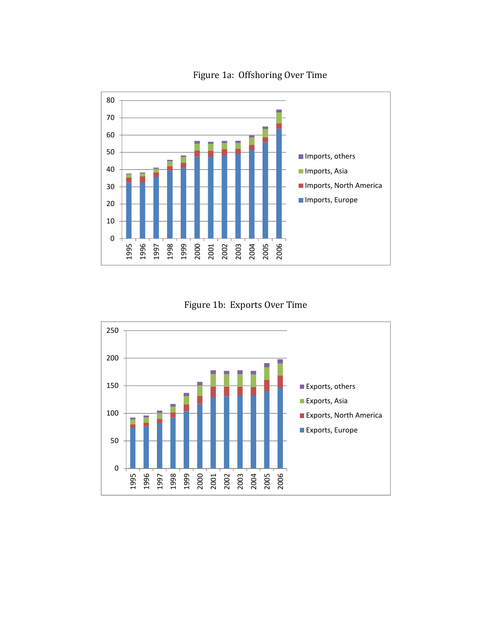

Figure 1a: Offshoring Over Time



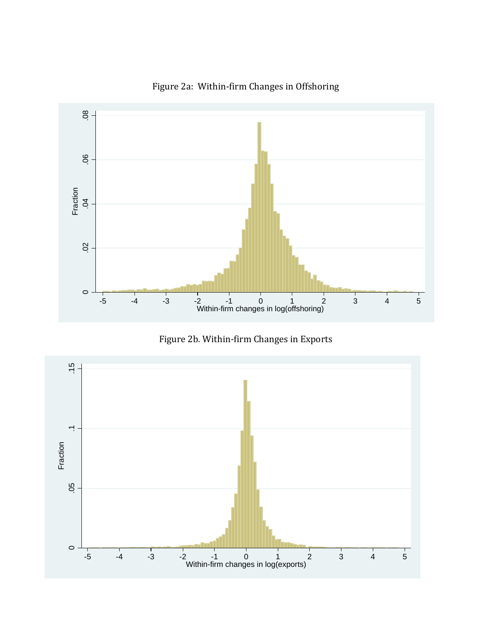

Figure 2a: Within-firm Changes in Offshoring



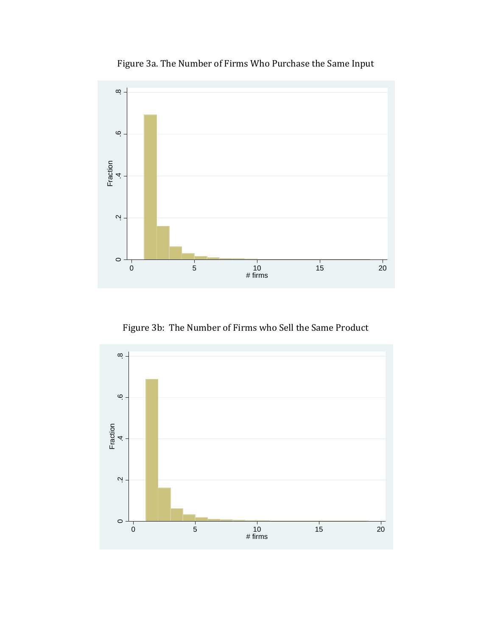

Figure 3a. The Number of Firms Who Purchase the Same Input

Figure 3b: The Number of Firms who Sell the Same Product

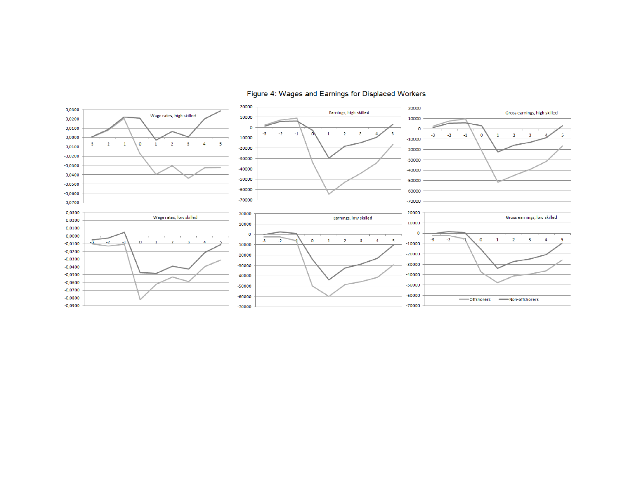

### Figure 4: Wages and Earnings for Displaced Workers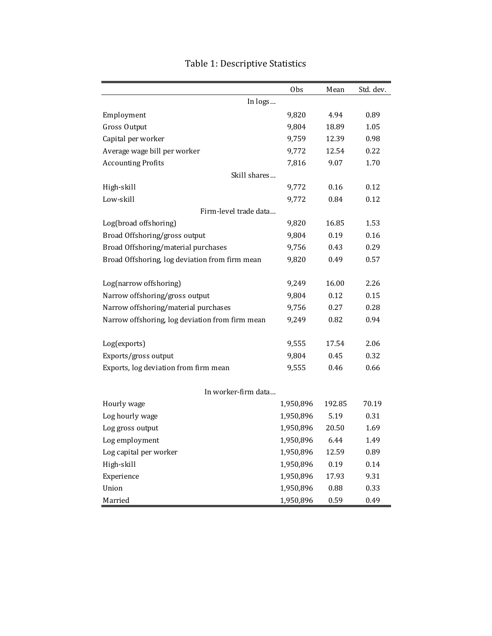|                                                 | 0bs       | Mean   | Std. dev. |
|-------------------------------------------------|-----------|--------|-----------|
| In logs                                         |           |        |           |
| Employment                                      | 9,820     | 4.94   | 0.89      |
| <b>Gross Output</b>                             | 9,804     | 18.89  | 1.05      |
| Capital per worker                              | 9,759     | 12.39  | 0.98      |
| Average wage bill per worker                    | 9,772     | 12.54  | 0.22      |
| <b>Accounting Profits</b>                       | 7,816     | 9.07   | 1.70      |
| Skill shares                                    |           |        |           |
| High-skill                                      | 9,772     | 0.16   | 0.12      |
| Low-skill                                       | 9,772     | 0.84   | 0.12      |
| Firm-level trade data                           |           |        |           |
| Log(broad offshoring)                           | 9,820     | 16.85  | 1.53      |
| Broad Offshoring/gross output                   | 9,804     | 0.19   | 0.16      |
| Broad Offshoring/material purchases             | 9,756     | 0.43   | 0.29      |
| Broad Offshoring, log deviation from firm mean  | 9,820     | 0.49   | 0.57      |
| Log(narrow offshoring)                          | 9,249     | 16.00  | 2.26      |
| Narrow offshoring/gross output                  | 9,804     | 0.12   | 0.15      |
| Narrow offshoring/material purchases            | 9,756     | 0.27   | 0.28      |
| Narrow offshoring, log deviation from firm mean | 9,249     | 0.82   | 0.94      |
| Log(exports)                                    | 9,555     | 17.54  | 2.06      |
| Exports/gross output                            | 9,804     | 0.45   | 0.32      |
| Exports, log deviation from firm mean           | 9,555     | 0.46   | 0.66      |
|                                                 |           |        |           |
| In worker-firm data                             |           |        |           |
| Hourly wage                                     | 1,950,896 | 192.85 | 70.19     |
| Log hourly wage                                 | 1,950,896 | 5.19   | 0.31      |
| Log gross output                                | 1,950,896 | 20.50  | 1.69      |
| Log employment                                  | 1,950,896 | 6.44   | 1.49      |
| Log capital per worker                          | 1,950,896 | 12.59  | 0.89      |
| High-skill                                      | 1,950,896 | 0.19   | 0.14      |
| Experience                                      | 1,950,896 | 17.93  | 9.31      |
| Union                                           | 1,950,896 | 0.88   | 0.33      |
| Married                                         | 1,950,896 | 0.59   | 0.49      |

# Table 1: Descriptive Statistics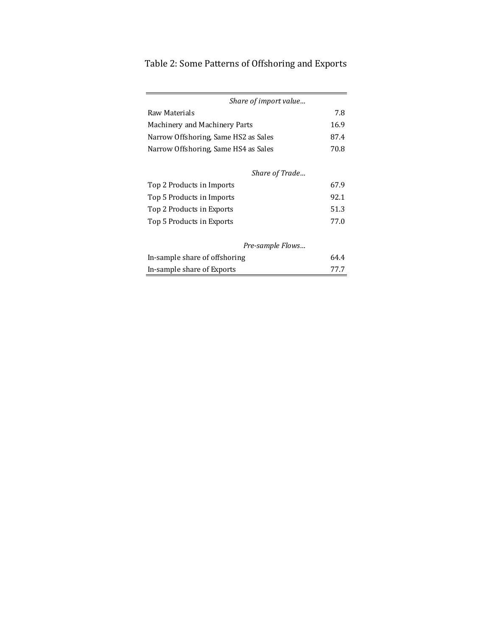# Table 2: Some Patterns of Offshoring and Exports

| Share of import value                |      |
|--------------------------------------|------|
| Raw Materials                        | 7.8  |
| Machinery and Machinery Parts        | 16.9 |
| Narrow Offshoring, Same HS2 as Sales | 87.4 |
| Narrow Offshoring, Same HS4 as Sales | 70.8 |
| Share of Trade                       |      |
|                                      |      |

| Top 2 Products in Imports | 67.9 |
|---------------------------|------|
| Top 5 Products in Imports | 92.1 |
| Top 2 Products in Exports | 51.3 |
| Top 5 Products in Exports | 77.0 |

## *Pre‐sample Flows…*

| In-sample share of offshoring | 64.4 |
|-------------------------------|------|
| In-sample share of Exports    | 77.7 |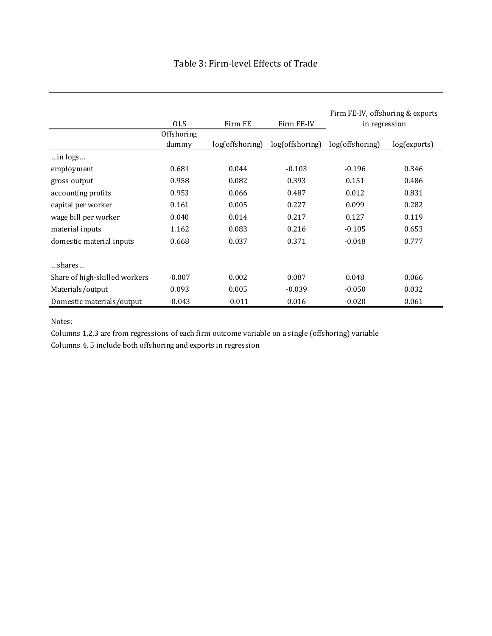|  | Table 3: Firm-level Effects of Trade |  |  |
|--|--------------------------------------|--|--|
|--|--------------------------------------|--|--|

|                               | <b>OLS</b>          | Firm FE                            | Firm FE-IV | Firm FE-IV, offshoring & exports<br>in regression |              |  |
|-------------------------------|---------------------|------------------------------------|------------|---------------------------------------------------|--------------|--|
|                               | Offshoring<br>dummy | log(offshoring)<br>log(offshoring) |            | log(offshoring)                                   | log(exports) |  |
| in logs                       |                     |                                    |            |                                                   |              |  |
| employment                    | 0.681               | 0.044                              | $-0.103$   | $-0.196$                                          | 0.346        |  |
| gross output                  | 0.958               | 0.082                              | 0.393      | 0.151                                             | 0.486        |  |
| accounting profits            | 0.953               | 0.066                              | 0.487      | 0.012                                             | 0.831        |  |
| capital per worker            | 0.161               | 0.005                              | 0.227      | 0.099                                             | 0.282        |  |
| wage bill per worker          | 0.040               | 0.014                              | 0.217      | 0.127                                             | 0.119        |  |
| material inputs               | 1.162               | 0.083                              | 0.216      | $-0.105$                                          | 0.653        |  |
| domestic material inputs      | 0.668               | 0.037                              | 0.371      | $-0.048$                                          | 0.777        |  |
| shares                        |                     |                                    |            |                                                   |              |  |
| Share of high-skilled workers | $-0.007$            | 0.002                              | 0.087      | 0.048                                             | 0.066        |  |
| Materials/output              | 0.093               | 0.005                              | $-0.039$   | $-0.050$                                          | 0.032        |  |
| Domestic materials/output     | $-0.043$            | $-0.011$                           | 0.016      | $-0.020$                                          | 0.061        |  |

Notes:

Columns 1,2,3 are from regressions of each firm outcome variable on a single (offshoring) variable

Columns 4, 5 include both offshoring and exports in regression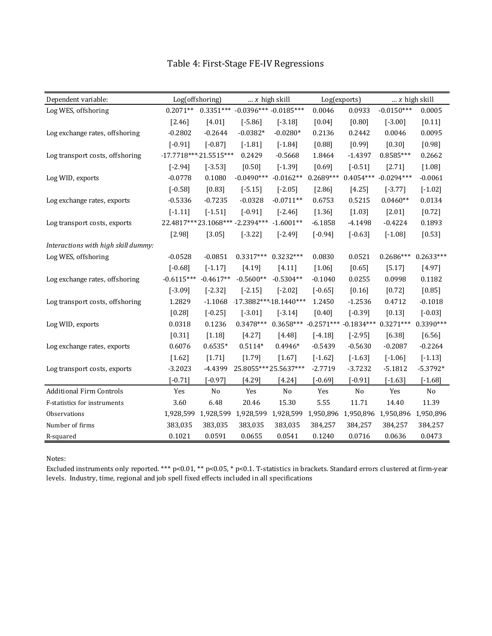| Dependent variable:                 |                         | Log(offshoring) | $ x$ high skill                   |                | Log(exports) |                           | $\ldots$ x high skill |             |
|-------------------------------------|-------------------------|-----------------|-----------------------------------|----------------|--------------|---------------------------|-----------------------|-------------|
| Log WES, offshoring                 | $0.2071**$              |                 | $0.3351***$ -0.0396*** -0.0185*** |                | 0.0046       | 0.0933                    | $-0.0150***$          | 0.0005      |
|                                     | $[2.46]$                | [4.01]          | $[-5.86]$                         | $[-3.18]$      | $[0.04]$     | $[0.80]$                  | $[-3.00]$             | $[0.11]$    |
| Log exchange rates, offshoring      | $-0.2802$               | $-0.2644$       | $-0.0382*$                        | $-0.0280*$     | 0.2136       | 0.2442                    | 0.0046                | 0.0095      |
|                                     | $[-0.91]$               | $[-0.87]$       | $[-1.81]$                         | $[-1.84]$      | $[0.88]$     | [0.99]                    | [0.30]                | [0.98]      |
| Log transport costs, offshoring     | $-17.7718***21.5515***$ |                 | 0.2429                            | $-0.5668$      | 1.8464       | $-1.4397$                 | $0.8585***$           | 0.2662      |
|                                     | $[-2.94]$               | $[-3.53]$       | $[0.50]$                          | $[-1.39]$      | $[0.69]$     | $[-0.51]$                 | [2.71]                | $[1.08]$    |
| Log WID, exports                    | $-0.0778$               | 0.1080          | $-0.0490***$                      | $-0.0162**$    | $0.2689***$  | $0.4054***$               | $-0.0294***$          | $-0.0061$   |
|                                     | $[-0.58]$               | $[0.83]$        | $[-5.15]$                         | $[-2.05]$      | $[2.86]$     | [4.25]                    | $[-3.77]$             | $[-1.02]$   |
| Log exchange rates, exports         | $-0.5336$               | $-0.7235$       | $-0.0328$                         | $-0.0711**$    | 0.6753       | 0.5215                    | $0.0460**$            | 0.0134      |
|                                     | $[-1.11]$               | $[-1.51]$       | $[-0.91]$                         | $[-2.46]$      | [1.36]       | [1.03]                    | $[2.01]$              | $[0.72]$    |
| Log transport costs, exports        |                         |                 | 22.4817***23.1068*** -2.2394***   | $-1.6001**$    | $-6.1858$    | $-4.1498$                 | $-0.4224$             | 0.1893      |
|                                     | [2.98]                  | [3.05]          | $[-3.22]$                         | $[-2.49]$      | $[-0.94]$    | $[-0.63]$                 | $[-1.08]$             | [0.53]      |
| Interactions with high skill dummy: |                         |                 |                                   |                |              |                           |                       |             |
| Log WES, offshoring                 | $-0.0528$               | $-0.0851$       | $0.3317***$                       | $0.3232***$    | 0.0830       | 0.0521                    | $0.2686***$           | $0.2633***$ |
|                                     | $[-0.68]$               | $[-1.17]$       | [4.19]                            | [4.11]         | [1.06]       | $[0.65]$                  | [5.17]                | [4.97]      |
| Log exchange rates, offshoring      | $-0.6115***$            | $-0.4617**$     | $-0.5600**$                       | $-0.5304**$    | $-0.1040$    | 0.0255                    | 0.0998                | 0.1182      |
|                                     | $[-3.09]$               | $[-2.32]$       | $[-2.15]$                         | $[-2.02]$      | $[-0.65]$    | $[0.16]$                  | $[0.72]$              | $[0.85]$    |
| Log transport costs, offshoring     | 1.2829                  | $-1.1068$       | $-17.3882***18.1440***$           |                | 1.2450       | $-1.2536$                 | 0.4712                | $-0.1018$   |
|                                     | $[0.28]$                | $[-0.25]$       | $[-3.01]$                         | $[-3.14]$      | $[0.40]$     | $[-0.39]$                 | [0.13]                | $[-0.03]$   |
| Log WID, exports                    | 0.0318                  | 0.1236          | $0.3478***$                       | $0.3658***$    |              | $-0.2571***$ $-0.1834***$ | $0.3271***$           | $0.3390***$ |
|                                     | $[0.31]$                | [1.18]          | [4.27]                            | $[4.48]$       | $[-4.18]$    | $[-2.95]$                 | [6.38]                | $[6.56]$    |
| Log exchange rates, exports         | 0.6076                  | $0.6535*$       | $0.5114*$                         | $0.4946*$      | $-0.5439$    | $-0.5630$                 | $-0.2087$             | $-0.2264$   |
|                                     | $[1.62]$                | [1.71]          | [1.79]                            | $[1.67]$       | $[-1.62]$    | $[-1.63]$                 | $[-1.06]$             | $[-1.13]$   |
| Log transport costs, exports        | $-3.2023$               | -4.4399         | 25.8055***25.5637***              |                | $-2.7719$    | $-3.7232$                 | $-5.1812$             | $-5.3792*$  |
|                                     | $[-0.71]$               | $[-0.97]$       | $[4.29]$                          | $[4.24]$       | $[-0.69]$    | $[-0.91]$                 | $[-1.63]$             | $[-1.68]$   |
| <b>Additional Firm Controls</b>     | Yes                     | No              | Yes                               | N <sub>o</sub> | Yes          | N <sub>o</sub>            | Yes                   | No          |
| F-statistics for instruments        | 3.60                    | 6.48            | 20.46                             | 15.30          | 5.55         | 11.71                     | 14.40                 | 11.39       |
| Observations                        | 1,928,599               | 1,928,599       | 1,928,599                         | 1,928,599      | 1,950,896    | 1,950,896                 | 1,950,896             | 1,950,896   |
| Number of firms                     | 383,035                 | 383,035         | 383,035                           | 383,035        | 384,257      | 384,257                   | 384,257               | 384,257     |
| R-squared                           | 0.1021                  | 0.0591          | 0.0655                            | 0.0541         | 0.1240       | 0.0716                    | 0.0636                | 0.0473      |

Table 4: First-Stage FE-IV Regressions

Notes: 

Excluded instruments only reported. \*\*\* p<0.01, \*\* p<0.05, \* p<0.1. T‐statistics in brackets. Standard errors clustered at firm‐year levels. Industry, time, regional and job spell fixed effects included in all specifications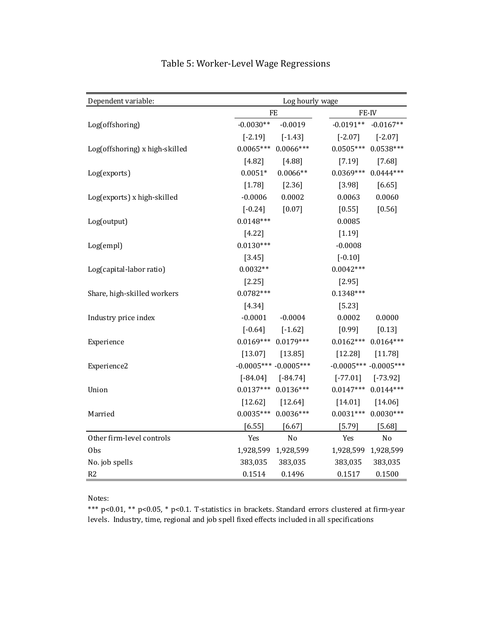| Dependent variable:            | Log hourly wage          |                            |
|--------------------------------|--------------------------|----------------------------|
|                                | FE                       | FE-IV                      |
| Log(offshoring)                | $-0.0030**$<br>$-0.0019$ | $-0.0191**$<br>$-0.0167**$ |
|                                | $[-2.19]$<br>$[-1.43]$   | $[-2.07]$<br>$[-2.07]$     |
| Log(offshoring) x high-skilled | $0.0065***$ 0.0066***    | $0.0505***$ 0.0538 ***     |
|                                | $[4.82]$<br>[4.88]       | [7.19]<br>$[7.68]$         |
| Log(exports)                   | $0.0051*$<br>$0.0066**$  | $0.0369***$ 0.0444***      |
|                                | [1.78]<br>$[2.36]$       | [3.98]<br>[6.65]           |
| Log(exports) x high-skilled    | 0.0002<br>$-0.0006$      | 0.0060<br>0.0063           |
|                                | $[-0.24]$<br>$[0.07]$    | $[0.55]$<br>$[0.56]$       |
| Log(output)                    | $0.0148***$              | 0.0085                     |
|                                | $[4.22]$                 | [1.19]                     |
| Log(empl)                      | $0.0130***$              | $-0.0008$                  |
|                                | [3.45]                   | $[-0.10]$                  |
| Log(capital-labor ratio)       | $0.0032**$               | $0.0042***$                |
|                                | $[2.25]$                 | [2.95]                     |
| Share, high-skilled workers    | $0.0782***$              | $0.1348***$                |
|                                | $[4.34]$                 | [5.23]                     |
| Industry price index           | $-0.0001$<br>$-0.0004$   | 0.0002<br>0.0000           |
|                                | $[-0.64]$<br>$[-1.62]$   | $[0.99]$<br>$[0.13]$       |
| Experience                     | $0.0169***$ 0.0179***    | $0.0162***$ 0.0164***      |
|                                | [13.07]<br>[13.85]       | [12.28]<br>[11.78]         |
| Experience2                    | $-0.0005*** -0.0005***$  | $-0.0005*** -0.0005***$    |
|                                | $[-84.04]$<br>$[-84.74]$ | $[-77.01]$<br>$[-73.92]$   |
| Union                          | $0.0137***$ $0.0136***$  | $0.0144***$<br>$0.0147***$ |
|                                | $[12.62]$<br>$[12.64]$   | [14.01]<br>[14.06]         |
| Married                        | $0.0035***$ 0.0036***    | $0.0031***$<br>$0.0030***$ |
|                                | [6.55]<br>$[6.67]$       | [5.79]<br>[5.68]           |
| Other firm-level controls      | Yes<br>No                | Yes<br>No                  |
| 0bs                            | 1,928,599 1,928,599      | 1,928,599 1,928,599        |
| No. job spells                 | 383,035<br>383,035       | 383,035<br>383,035         |
| R2                             | 0.1514<br>0.1496         | 0.1517<br>0.1500           |

## Table 5: Worker-Level Wage Regressions

Notes: 

\*\*\* p<0.01, \*\* p<0.05, \* p<0.1. T‐statistics in brackets. Standard errors clustered at firm‐year levels. Industry, time, regional and job spell fixed effects included in all specifications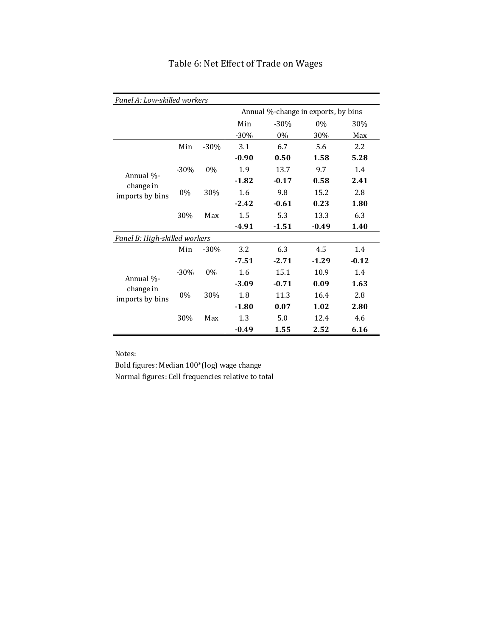| Panel A: Low-skilled workers  |        |        |                                     |         |         |         |  |  |
|-------------------------------|--------|--------|-------------------------------------|---------|---------|---------|--|--|
|                               |        |        | Annual %-change in exports, by bins |         |         |         |  |  |
|                               |        |        | Min                                 | $-30%$  | $0\%$   | 30%     |  |  |
|                               |        |        | $-30\%$                             | $0\%$   | 30%     | Max     |  |  |
|                               | Min    | $-30%$ | 3.1                                 | 6.7     | 5.6     | $2.2\,$ |  |  |
|                               |        |        | $-0.90$                             | 0.50    | 1.58    | 5.28    |  |  |
|                               | $-30%$ | $0\%$  | 1.9                                 | 13.7    | 9.7     | 1.4     |  |  |
| Annual %-<br>change in        |        |        | $-1.82$                             | $-0.17$ | 0.58    | 2.41    |  |  |
| imports by bins               | $0\%$  | 30%    | 1.6                                 | 9.8     | 15.2    | 2.8     |  |  |
|                               |        |        | $-2.42$                             | $-0.61$ | 0.23    | 1.80    |  |  |
|                               | 30%    | Max    | 1.5                                 | 5.3     | 13.3    | 6.3     |  |  |
|                               |        |        | $-4.91$                             | $-1.51$ | $-0.49$ | 1.40    |  |  |
| Panel B: High-skilled workers |        |        |                                     |         |         |         |  |  |
|                               | Min    | $-30%$ | 3.2                                 | 6.3     | 4.5     | 1.4     |  |  |
|                               |        |        | $-7.51$                             | $-2.71$ | $-1.29$ | $-0.12$ |  |  |
|                               | $-30%$ | $0\%$  | 1.6                                 | 15.1    | 10.9    | 1.4     |  |  |
| Annual %-                     |        |        | $-3.09$                             | $-0.71$ | 0.09    | 1.63    |  |  |
| change in<br>imports by bins  | $0\%$  | 30%    | 1.8                                 | 11.3    | 16.4    | 2.8     |  |  |
|                               |        |        | $-1.80$                             | 0.07    | 1.02    | 2.80    |  |  |
|                               | 30%    | Max    | 1.3                                 | 5.0     | 12.4    | 4.6     |  |  |
|                               |        |        | $-0.49$                             | 1.55    | 2.52    | 6.16    |  |  |

# Table 6: Net Effect of Trade on Wages

Notes:

Bold figures: Median 100\*(log) wage change Normal figures: Cell frequencies relative to total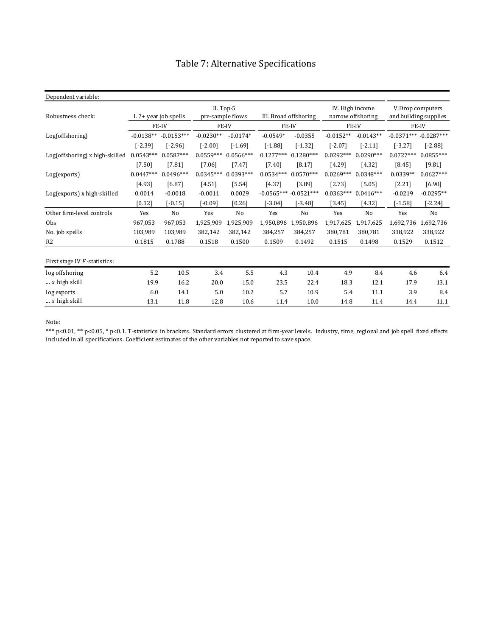| Dependent variable:                        |             |              |             |                               |                           |                       |             |                                      |             |                                           |  |
|--------------------------------------------|-------------|--------------|-------------|-------------------------------|---------------------------|-----------------------|-------------|--------------------------------------|-------------|-------------------------------------------|--|
| Robustness check:<br>I. 7+ year job spells |             |              |             | II. Top-5<br>pre-sample flows |                           | III. Broad offshoring |             | IV. High income<br>narrow offshoring |             | V.Drop computers<br>and building supplies |  |
|                                            |             | FE-IV        | FE-IV       |                               | FE-IV                     |                       | FE-IV       |                                      | FE-IV       |                                           |  |
| Log(offshoring)                            | $-0.0138**$ | $-0.0153***$ | $-0.0230**$ | $-0.0174*$                    | $-0.0549*$                | $-0.0355$             | $-0.0152**$ | $-0.0143**$                          |             | $-0.0371***$ $-0.0287***$                 |  |
|                                            | $[-2.39]$   | $[-2.96]$    | $[-2.00]$   | $[-1.69]$                     | $[-1.88]$                 | $[-1.32]$             | $[-2.07]$   | $[-2.11]$                            | $[-3.27]$   | $[-2.88]$                                 |  |
| Log(offshoring) x high-skilled             | $0.0543***$ | $0.0587***$  | $0.0559***$ | $0.0566***$                   | $0.1277***$               | $0.1280***$           | $0.0292***$ | $0.0290***$                          | $0.0727***$ | $0.0855***$                               |  |
|                                            | $[7.50]$    | $[7.81]$     | [7.06]      | $[7.47]$                      | [7.40]                    | [8.17]                | [4.29]      | [4.32]                               | [8.45]      | [9.81]                                    |  |
| Log(exports)                               | $0.0447***$ | $0.0496***$  | $0.0345***$ | $0.0393***$                   | $0.0534***$               | $0.0570***$           | $0.0269***$ | $0.0348***$                          | $0.0339**$  | $0.0627***$                               |  |
|                                            | [4.93]      | [6.87]       | [4.51]      | [5.54]                        | [4.37]                    | [3.89]                | [2.73]      | [5.05]                               | [2.21]      | [6.90]                                    |  |
| Log(exports) x high-skilled                | 0.0014      | $-0.0018$    | $-0.0011$   | 0.0029                        | $-0.0565***$ $-0.0521***$ |                       | $0.0363***$ | $0.0416***$                          | $-0.0219$   | $-0.0295**$                               |  |
|                                            | $[0.12]$    | $[-0.15]$    | [-0.09]     | [0.26]                        | $-3.04]$                  | $-3.48$ ]             | [3.45]      | [4.32]                               | [-1.58]     | $-2.24]$                                  |  |
| Other firm-level controls                  | Yes         | No           | Yes         | No                            | Yes                       | No                    | Yes         | No                                   | Yes         | No                                        |  |
| Obs                                        | 967,053     | 967,053      | 1,925,909   | 1,925,909                     | 1,950,896                 | 1,950,896             | 1,917,625   | 1,917,625                            | 1,692,736   | 1,692,736                                 |  |
| No. job spells                             | 103.989     | 103.989      | 382,142     | 382,142                       | 384,257                   | 384.257               | 380.781     | 380,781                              | 338,922     | 338,922                                   |  |
| R <sub>2</sub>                             | 0.1815      | 0.1788       | 0.1518      | 0.1500                        | 0.1509                    | 0.1492                | 0.1515      | 0.1498                               | 0.1529      | 0.1512                                    |  |
| First stage IV F-statistics:               |             |              |             |                               |                           |                       |             |                                      |             |                                           |  |
| log offshoring                             | 5.2         | 10.5         | 3.4         | 5.5                           | 4.3                       | 10.4                  | 4.9         | 8.4                                  | 4.6         | 6.4                                       |  |
| $\ldots$ x high skill                      | 19.9        | 16.2         | 20.0        | 15.0                          | 23.5                      | 22.4                  | 18.3        | 12.1                                 | 17.9        | 13.1                                      |  |
| log exports                                | 6.0         | 14.1         | 5.0         | 10.2                          | 5.7                       | 10.9                  | 5.4         | 11.1                                 | 3.9         | 8.4                                       |  |
| $\ldots$ x high skill                      | 13.1        | 11.8         | 12.8        | 10.6                          | 11.4                      | 10.0                  | 14.8        | 11.4                                 | 14.4        | 11.1                                      |  |

# Table 7: Alternative Specifications

Note:

\*\*\* p<0.01, \*\* p<0.05, \* p<0.1. T‐statistics in brackets. Standard errors clustered at firm‐year levels. Industry, time, regional and job spell fixed effects included in all specifications. Coefficient estimates of the other variables not reported to save space.